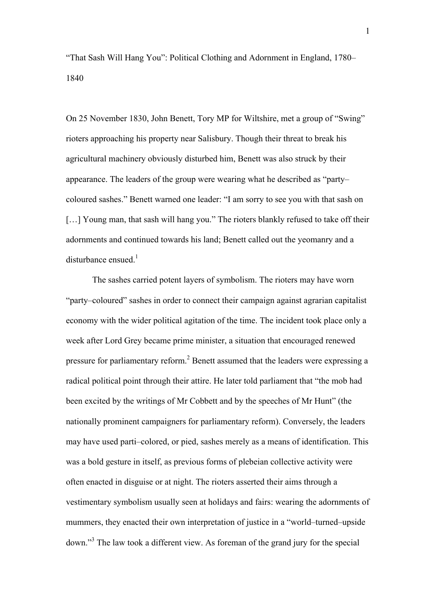"That Sash Will Hang You": Political Clothing and Adornment in England, 1780– 1840

On 25 November 1830, John Benett, Tory MP for Wiltshire, met a group of "Swing" rioters approaching his property near Salisbury. Though their threat to break his agricultural machinery obviously disturbed him, Benett was also struck by their appearance. The leaders of the group were wearing what he described as "party– coloured sashes." Benett warned one leader: "I am sorry to see you with that sash on [...] Young man, that sash will hang you." The rioters blankly refused to take off their adornments and continued towards his land; Benett called out the yeomanry and a disturbance ensued. $<sup>1</sup>$ </sup>

The sashes carried potent layers of symbolism. The rioters may have worn "party–coloured" sashes in order to connect their campaign against agrarian capitalist economy with the wider political agitation of the time. The incident took place only a week after Lord Grey became prime minister, a situation that encouraged renewed pressure for parliamentary reform.<sup>2</sup> Benett assumed that the leaders were expressing a radical political point through their attire. He later told parliament that "the mob had been excited by the writings of Mr Cobbett and by the speeches of Mr Hunt" (the nationally prominent campaigners for parliamentary reform). Conversely, the leaders may have used parti–colored, or pied, sashes merely as a means of identification. This was a bold gesture in itself, as previous forms of plebeian collective activity were often enacted in disguise or at night. The rioters asserted their aims through a vestimentary symbolism usually seen at holidays and fairs: wearing the adornments of mummers, they enacted their own interpretation of justice in a "world–turned–upside down."<sup>3</sup> The law took a different view. As foreman of the grand jury for the special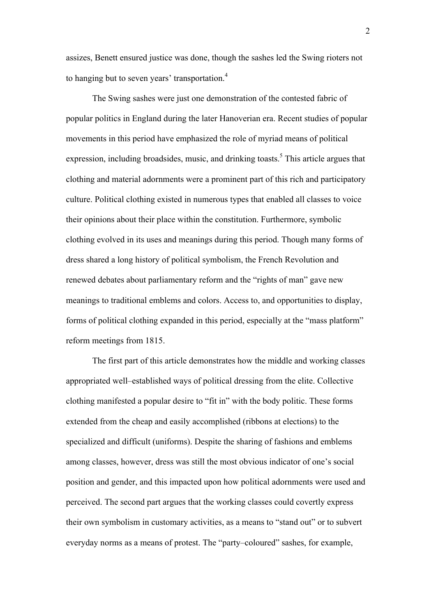assizes, Benett ensured justice was done, though the sashes led the Swing rioters not to hanging but to seven years' transportation.<sup>4</sup>

The Swing sashes were just one demonstration of the contested fabric of popular politics in England during the later Hanoverian era. Recent studies of popular movements in this period have emphasized the role of myriad means of political expression, including broadsides, music, and drinking toasts.<sup>5</sup> This article argues that clothing and material adornments were a prominent part of this rich and participatory culture. Political clothing existed in numerous types that enabled all classes to voice their opinions about their place within the constitution. Furthermore, symbolic clothing evolved in its uses and meanings during this period. Though many forms of dress shared a long history of political symbolism, the French Revolution and renewed debates about parliamentary reform and the "rights of man" gave new meanings to traditional emblems and colors. Access to, and opportunities to display, forms of political clothing expanded in this period, especially at the "mass platform" reform meetings from 1815.

The first part of this article demonstrates how the middle and working classes appropriated well–established ways of political dressing from the elite. Collective clothing manifested a popular desire to "fit in" with the body politic. These forms extended from the cheap and easily accomplished (ribbons at elections) to the specialized and difficult (uniforms). Despite the sharing of fashions and emblems among classes, however, dress was still the most obvious indicator of one's social position and gender, and this impacted upon how political adornments were used and perceived. The second part argues that the working classes could covertly express their own symbolism in customary activities, as a means to "stand out" or to subvert everyday norms as a means of protest. The "party–coloured" sashes, for example,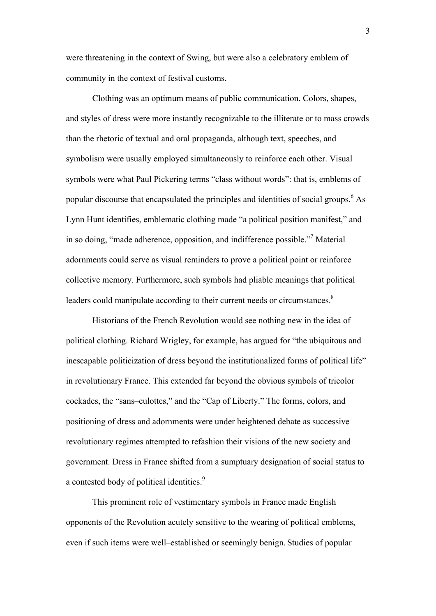were threatening in the context of Swing, but were also a celebratory emblem of community in the context of festival customs.

Clothing was an optimum means of public communication. Colors, shapes, and styles of dress were more instantly recognizable to the illiterate or to mass crowds than the rhetoric of textual and oral propaganda, although text, speeches, and symbolism were usually employed simultaneously to reinforce each other. Visual symbols were what Paul Pickering terms "class without words": that is, emblems of popular discourse that encapsulated the principles and identities of social groups.<sup>6</sup> As Lynn Hunt identifies, emblematic clothing made "a political position manifest," and in so doing, "made adherence, opposition, and indifference possible."<sup>7</sup> Material adornments could serve as visual reminders to prove a political point or reinforce collective memory. Furthermore, such symbols had pliable meanings that political leaders could manipulate according to their current needs or circumstances.<sup>8</sup>

Historians of the French Revolution would see nothing new in the idea of political clothing. Richard Wrigley, for example, has argued for "the ubiquitous and inescapable politicization of dress beyond the institutionalized forms of political life" in revolutionary France. This extended far beyond the obvious symbols of tricolor cockades, the "sans–culottes," and the "Cap of Liberty." The forms, colors, and positioning of dress and adornments were under heightened debate as successive revolutionary regimes attempted to refashion their visions of the new society and government. Dress in France shifted from a sumptuary designation of social status to a contested body of political identities.<sup>9</sup>

This prominent role of vestimentary symbols in France made English opponents of the Revolution acutely sensitive to the wearing of political emblems, even if such items were well–established or seemingly benign. Studies of popular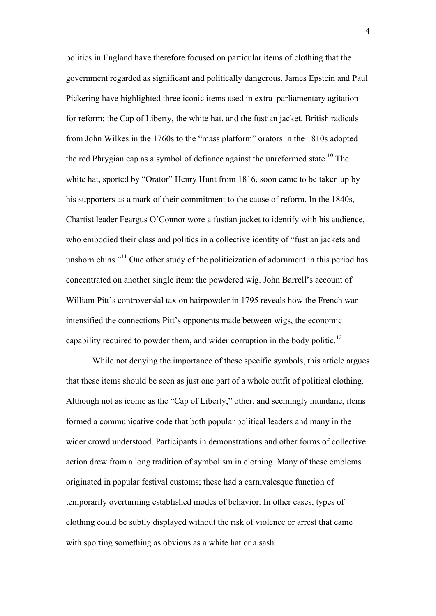politics in England have therefore focused on particular items of clothing that the government regarded as significant and politically dangerous. James Epstein and Paul Pickering have highlighted three iconic items used in extra–parliamentary agitation for reform: the Cap of Liberty, the white hat, and the fustian jacket. British radicals from John Wilkes in the 1760s to the "mass platform" orators in the 1810s adopted the red Phrygian cap as a symbol of defiance against the unreformed state.<sup>10</sup> The white hat, sported by "Orator" Henry Hunt from 1816, soon came to be taken up by his supporters as a mark of their commitment to the cause of reform. In the 1840s, Chartist leader Feargus O'Connor wore a fustian jacket to identify with his audience, who embodied their class and politics in a collective identity of "fustian jackets and unshorn chins."<sup>11</sup> One other study of the politicization of adornment in this period has concentrated on another single item: the powdered wig. John Barrell's account of William Pitt's controversial tax on hairpowder in 1795 reveals how the French war intensified the connections Pitt's opponents made between wigs, the economic capability required to powder them, and wider corruption in the body politic.<sup>12</sup>

While not denying the importance of these specific symbols, this article argues that these items should be seen as just one part of a whole outfit of political clothing. Although not as iconic as the "Cap of Liberty," other, and seemingly mundane, items formed a communicative code that both popular political leaders and many in the wider crowd understood. Participants in demonstrations and other forms of collective action drew from a long tradition of symbolism in clothing. Many of these emblems originated in popular festival customs; these had a carnivalesque function of temporarily overturning established modes of behavior. In other cases, types of clothing could be subtly displayed without the risk of violence or arrest that came with sporting something as obvious as a white hat or a sash.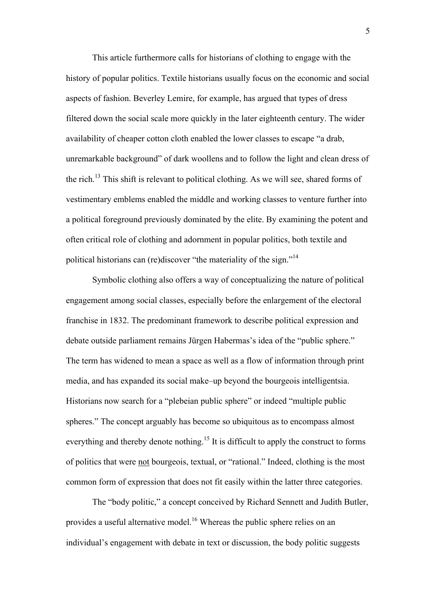This article furthermore calls for historians of clothing to engage with the history of popular politics. Textile historians usually focus on the economic and social aspects of fashion. Beverley Lemire, for example, has argued that types of dress filtered down the social scale more quickly in the later eighteenth century. The wider availability of cheaper cotton cloth enabled the lower classes to escape "a drab, unremarkable background" of dark woollens and to follow the light and clean dress of the rich.<sup>13</sup> This shift is relevant to political clothing. As we will see, shared forms of vestimentary emblems enabled the middle and working classes to venture further into a political foreground previously dominated by the elite. By examining the potent and often critical role of clothing and adornment in popular politics, both textile and political historians can (re)discover "the materiality of the sign."<sup>14</sup>

Symbolic clothing also offers a way of conceptualizing the nature of political engagement among social classes, especially before the enlargement of the electoral franchise in 1832. The predominant framework to describe political expression and debate outside parliament remains Jürgen Habermas's idea of the "public sphere." The term has widened to mean a space as well as a flow of information through print media, and has expanded its social make–up beyond the bourgeois intelligentsia. Historians now search for a "plebeian public sphere" or indeed "multiple public spheres." The concept arguably has become so ubiquitous as to encompass almost everything and thereby denote nothing.<sup>15</sup> It is difficult to apply the construct to forms of politics that were not bourgeois, textual, or "rational." Indeed, clothing is the most common form of expression that does not fit easily within the latter three categories.

The "body politic," a concept conceived by Richard Sennett and Judith Butler, provides a useful alternative model.<sup>16</sup> Whereas the public sphere relies on an individual's engagement with debate in text or discussion, the body politic suggests

5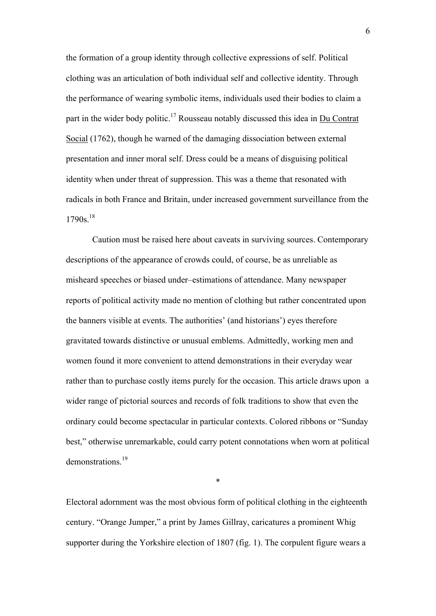the formation of a group identity through collective expressions of self. Political clothing was an articulation of both individual self and collective identity. Through the performance of wearing symbolic items, individuals used their bodies to claim a part in the wider body politic.<sup>17</sup> Rousseau notably discussed this idea in  $Du$  Contrat</u> Social (1762), though he warned of the damaging dissociation between external presentation and inner moral self. Dress could be a means of disguising political identity when under threat of suppression. This was a theme that resonated with radicals in both France and Britain, under increased government surveillance from the  $1790s$ <sup>18</sup>

Caution must be raised here about caveats in surviving sources. Contemporary descriptions of the appearance of crowds could, of course, be as unreliable as misheard speeches or biased under–estimations of attendance. Many newspaper reports of political activity made no mention of clothing but rather concentrated upon the banners visible at events. The authorities' (and historians') eyes therefore gravitated towards distinctive or unusual emblems. Admittedly, working men and women found it more convenient to attend demonstrations in their everyday wear rather than to purchase costly items purely for the occasion. This article draws upon a wider range of pictorial sources and records of folk traditions to show that even the ordinary could become spectacular in particular contexts. Colored ribbons or "Sunday best," otherwise unremarkable, could carry potent connotations when worn at political demonstrations<sup>19</sup>

\*

Electoral adornment was the most obvious form of political clothing in the eighteenth century. "Orange Jumper," a print by James Gillray, caricatures a prominent Whig supporter during the Yorkshire election of 1807 (fig. 1). The corpulent figure wears a

6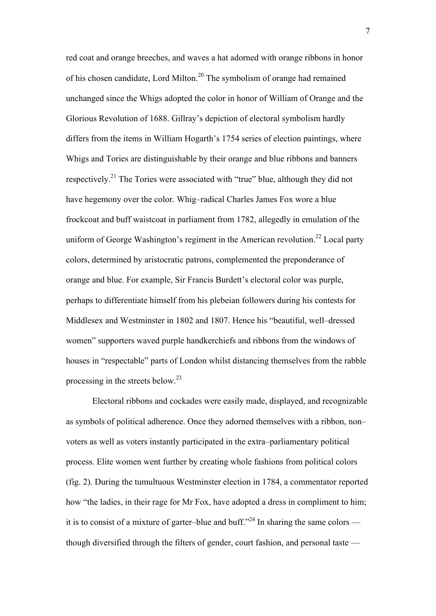red coat and orange breeches, and waves a hat adorned with orange ribbons in honor of his chosen candidate, Lord Milton.20 The symbolism of orange had remained unchanged since the Whigs adopted the color in honor of William of Orange and the Glorious Revolution of 1688. Gillray's depiction of electoral symbolism hardly differs from the items in William Hogarth's 1754 series of election paintings, where Whigs and Tories are distinguishable by their orange and blue ribbons and banners respectively.21 The Tories were associated with "true" blue, although they did not have hegemony over the color. Whig–radical Charles James Fox wore a blue frockcoat and buff waistcoat in parliament from 1782, allegedly in emulation of the uniform of George Washington's regiment in the American revolution.<sup>22</sup> Local party colors, determined by aristocratic patrons, complemented the preponderance of orange and blue. For example, Sir Francis Burdett's electoral color was purple, perhaps to differentiate himself from his plebeian followers during his contests for Middlesex and Westminster in 1802 and 1807. Hence his "beautiful, well–dressed women" supporters waved purple handkerchiefs and ribbons from the windows of houses in "respectable" parts of London whilst distancing themselves from the rabble processing in the streets below.23

Electoral ribbons and cockades were easily made, displayed, and recognizable as symbols of political adherence. Once they adorned themselves with a ribbon, non– voters as well as voters instantly participated in the extra–parliamentary political process. Elite women went further by creating whole fashions from political colors (fig. 2). During the tumultuous Westminster election in 1784, a commentator reported how "the ladies, in their rage for Mr Fox, have adopted a dress in compliment to him; it is to consist of a mixture of garter–blue and buff."<sup>24</sup> In sharing the same colors though diversified through the filters of gender, court fashion, and personal taste —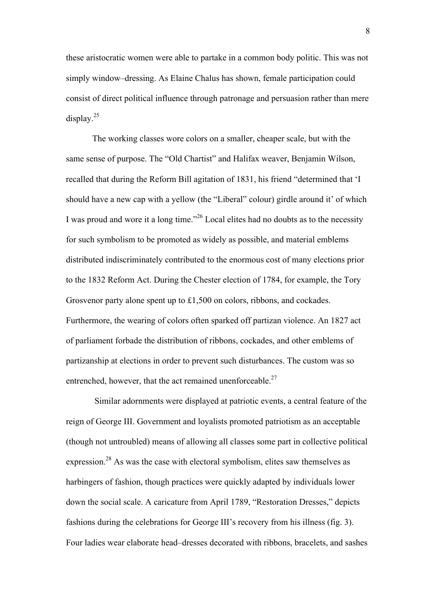these aristocratic women were able to partake in a common body politic. This was not simply window–dressing. As Elaine Chalus has shown, female participation could consist of direct political influence through patronage and persuasion rather than mere display. $25$ 

The working classes wore colors on a smaller, cheaper scale, but with the same sense of purpose. The "Old Chartist" and Halifax weaver, Benjamin Wilson, recalled that during the Reform Bill agitation of 1831, his friend "determined that 'I should have a new cap with a yellow (the "Liberal" colour) girdle around it' of which I was proud and wore it a long time."26 Local elites had no doubts as to the necessity for such symbolism to be promoted as widely as possible, and material emblems distributed indiscriminately contributed to the enormous cost of many elections prior to the 1832 Reform Act. During the Chester election of 1784, for example, the Tory Grosvenor party alone spent up to £1,500 on colors, ribbons, and cockades. Furthermore, the wearing of colors often sparked off partizan violence. An 1827 act of parliament forbade the distribution of ribbons, cockades, and other emblems of partizanship at elections in order to prevent such disturbances. The custom was so entrenched, however, that the act remained unenforceable.<sup>27</sup>

Similar adornments were displayed at patriotic events, a central feature of the reign of George III. Government and loyalists promoted patriotism as an acceptable (though not untroubled) means of allowing all classes some part in collective political expression.<sup>28</sup> As was the case with electoral symbolism, elites saw themselves as harbingers of fashion, though practices were quickly adapted by individuals lower down the social scale. A caricature from April 1789, "Restoration Dresses," depicts fashions during the celebrations for George III's recovery from his illness (fig. 3). Four ladies wear elaborate head–dresses decorated with ribbons, bracelets, and sashes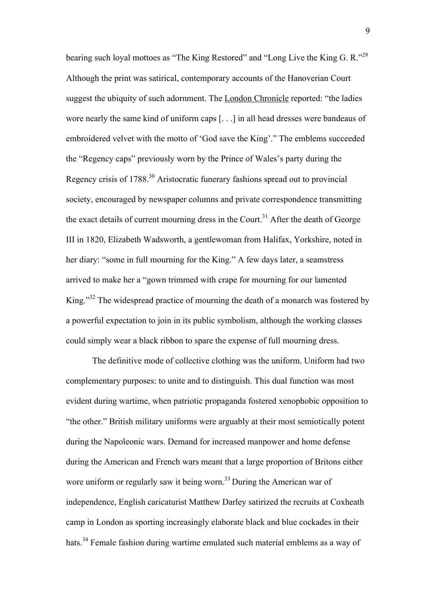bearing such loyal mottoes as "The King Restored" and "Long Live the King G. R."29 Although the print was satirical, contemporary accounts of the Hanoverian Court suggest the ubiquity of such adornment. The London Chronicle reported: "the ladies wore nearly the same kind of uniform caps [. . .] in all head dresses were bandeaus of embroidered velvet with the motto of 'God save the King'." The emblems succeeded the "Regency caps" previously worn by the Prince of Wales's party during the Regency crisis of 1788.30 Aristocratic funerary fashions spread out to provincial society, encouraged by newspaper columns and private correspondence transmitting the exact details of current mourning dress in the Court.<sup>31</sup> After the death of George III in 1820, Elizabeth Wadsworth, a gentlewoman from Halifax, Yorkshire, noted in her diary: "some in full mourning for the King." A few days later, a seamstress arrived to make her a "gown trimmed with crape for mourning for our lamented King."32 The widespread practice of mourning the death of a monarch was fostered by a powerful expectation to join in its public symbolism, although the working classes could simply wear a black ribbon to spare the expense of full mourning dress.

The definitive mode of collective clothing was the uniform. Uniform had two complementary purposes: to unite and to distinguish. This dual function was most evident during wartime, when patriotic propaganda fostered xenophobic opposition to "the other." British military uniforms were arguably at their most semiotically potent during the Napoleonic wars. Demand for increased manpower and home defense during the American and French wars meant that a large proportion of Britons either wore uniform or regularly saw it being worn.<sup>33</sup> During the American war of independence, English caricaturist Matthew Darley satirized the recruits at Coxheath camp in London as sporting increasingly elaborate black and blue cockades in their hats.<sup>34</sup> Female fashion during wartime emulated such material emblems as a way of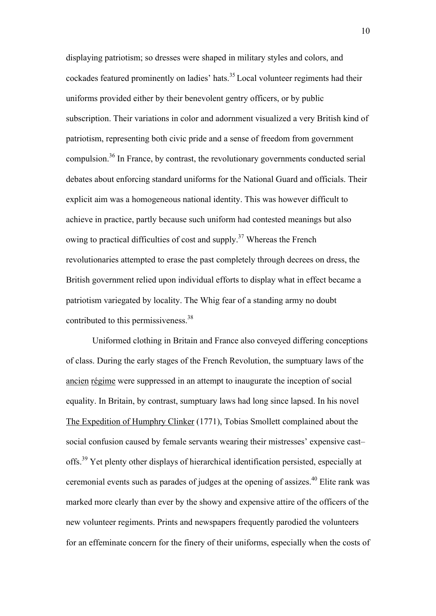displaying patriotism; so dresses were shaped in military styles and colors, and cockades featured prominently on ladies' hats.<sup>35</sup> Local volunteer regiments had their uniforms provided either by their benevolent gentry officers, or by public subscription. Their variations in color and adornment visualized a very British kind of patriotism, representing both civic pride and a sense of freedom from government compulsion. <sup>36</sup> In France, by contrast, the revolutionary governments conducted serial debates about enforcing standard uniforms for the National Guard and officials. Their explicit aim was a homogeneous national identity. This was however difficult to achieve in practice, partly because such uniform had contested meanings but also owing to practical difficulties of cost and supply.<sup>37</sup> Whereas the French revolutionaries attempted to erase the past completely through decrees on dress, the British government relied upon individual efforts to display what in effect became a patriotism variegated by locality. The Whig fear of a standing army no doubt contributed to this permissiveness.<sup>38</sup>

Uniformed clothing in Britain and France also conveyed differing conceptions of class. During the early stages of the French Revolution, the sumptuary laws of the ancien régime were suppressed in an attempt to inaugurate the inception of social equality. In Britain, by contrast, sumptuary laws had long since lapsed. In his novel The Expedition of Humphry Clinker (1771), Tobias Smollett complained about the social confusion caused by female servants wearing their mistresses' expensive cast– offs.39 Yet plenty other displays of hierarchical identification persisted, especially at ceremonial events such as parades of judges at the opening of assizes.<sup>40</sup> Elite rank was marked more clearly than ever by the showy and expensive attire of the officers of the new volunteer regiments. Prints and newspapers frequently parodied the volunteers for an effeminate concern for the finery of their uniforms, especially when the costs of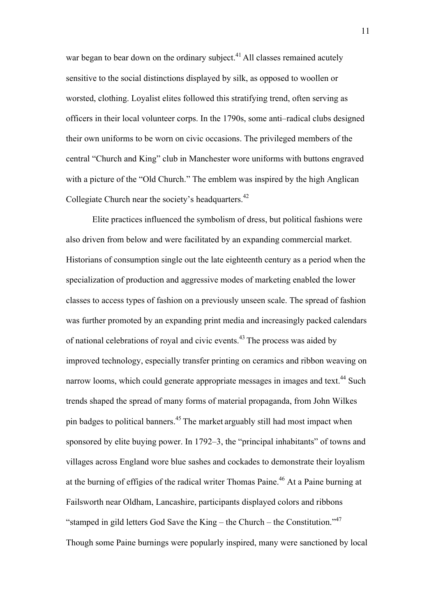war began to bear down on the ordinary subject.<sup>41</sup> All classes remained acutely sensitive to the social distinctions displayed by silk, as opposed to woollen or worsted, clothing. Loyalist elites followed this stratifying trend, often serving as officers in their local volunteer corps. In the 1790s, some anti–radical clubs designed their own uniforms to be worn on civic occasions. The privileged members of the central "Church and King" club in Manchester wore uniforms with buttons engraved with a picture of the "Old Church." The emblem was inspired by the high Anglican Collegiate Church near the society's headquarters.<sup>42</sup>

Elite practices influenced the symbolism of dress, but political fashions were also driven from below and were facilitated by an expanding commercial market. Historians of consumption single out the late eighteenth century as a period when the specialization of production and aggressive modes of marketing enabled the lower classes to access types of fashion on a previously unseen scale. The spread of fashion was further promoted by an expanding print media and increasingly packed calendars of national celebrations of royal and civic events.<sup>43</sup> The process was aided by improved technology, especially transfer printing on ceramics and ribbon weaving on narrow looms, which could generate appropriate messages in images and text.<sup>44</sup> Such trends shaped the spread of many forms of material propaganda, from John Wilkes pin badges to political banners.45 The market arguably still had most impact when sponsored by elite buying power. In 1792–3, the "principal inhabitants" of towns and villages across England wore blue sashes and cockades to demonstrate their loyalism at the burning of effigies of the radical writer Thomas Paine.<sup>46</sup> At a Paine burning at Failsworth near Oldham, Lancashire, participants displayed colors and ribbons "stamped in gild letters God Save the King – the Church – the Constitution."47 Though some Paine burnings were popularly inspired, many were sanctioned by local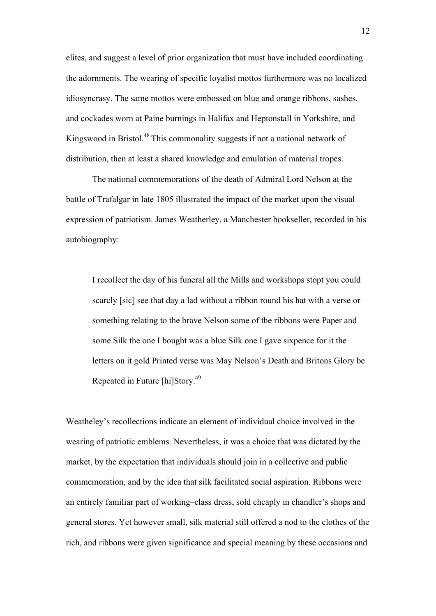elites, and suggest a level of prior organization that must have included coordinating the adornments. The wearing of specific loyalist mottos furthermore was no localized idiosyncrasy. The same mottos were embossed on blue and orange ribbons, sashes, and cockades worn at Paine burnings in Halifax and Heptonstall in Yorkshire, and Kingswood in Bristol.<sup>48</sup> This commonality suggests if not a national network of distribution, then at least a shared knowledge and emulation of material tropes.

The national commemorations of the death of Admiral Lord Nelson at the battle of Trafalgar in late 1805 illustrated the impact of the market upon the visual expression of patriotism. James Weatherley, a Manchester bookseller, recorded in his autobiography:

I recollect the day of his funeral all the Mills and workshops stopt you could scarcly [sic] see that day a lad without a ribbon round his hat with a verse or something relating to the brave Nelson some of the ribbons were Paper and some Silk the one I bought was a blue Silk one I gave sixpence for it the letters on it gold Printed verse was May Nelson's Death and Britons Glory be Repeated in Future [hi]Story.49

Weatheley's recollections indicate an element of individual choice involved in the wearing of patriotic emblems. Nevertheless, it was a choice that was dictated by the market, by the expectation that individuals should join in a collective and public commemoration, and by the idea that silk facilitated social aspiration. Ribbons were an entirely familiar part of working–class dress, sold cheaply in chandler's shops and general stores. Yet however small, silk material still offered a nod to the clothes of the rich, and ribbons were given significance and special meaning by these occasions and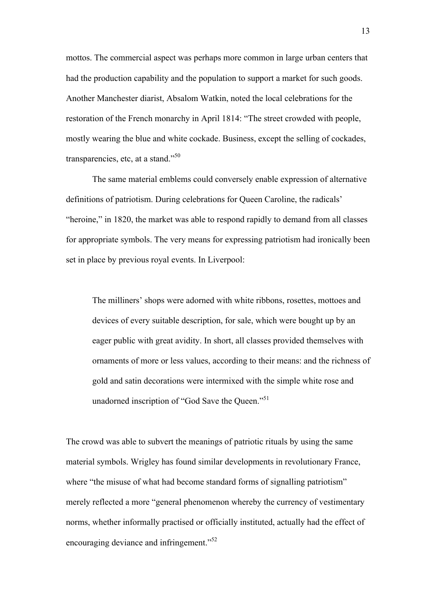mottos. The commercial aspect was perhaps more common in large urban centers that had the production capability and the population to support a market for such goods. Another Manchester diarist, Absalom Watkin, noted the local celebrations for the restoration of the French monarchy in April 1814: "The street crowded with people, mostly wearing the blue and white cockade. Business, except the selling of cockades, transparencies, etc, at a stand."<sup>50</sup>

The same material emblems could conversely enable expression of alternative definitions of patriotism. During celebrations for Queen Caroline, the radicals' "heroine," in 1820, the market was able to respond rapidly to demand from all classes for appropriate symbols. The very means for expressing patriotism had ironically been set in place by previous royal events. In Liverpool:

The milliners' shops were adorned with white ribbons, rosettes, mottoes and devices of every suitable description, for sale, which were bought up by an eager public with great avidity. In short, all classes provided themselves with ornaments of more or less values, according to their means: and the richness of gold and satin decorations were intermixed with the simple white rose and unadorned inscription of "God Save the Queen."<sup>51</sup>

The crowd was able to subvert the meanings of patriotic rituals by using the same material symbols. Wrigley has found similar developments in revolutionary France, where "the misuse of what had become standard forms of signalling patriotism" merely reflected a more "general phenomenon whereby the currency of vestimentary norms, whether informally practised or officially instituted, actually had the effect of encouraging deviance and infringement."<sup>52</sup>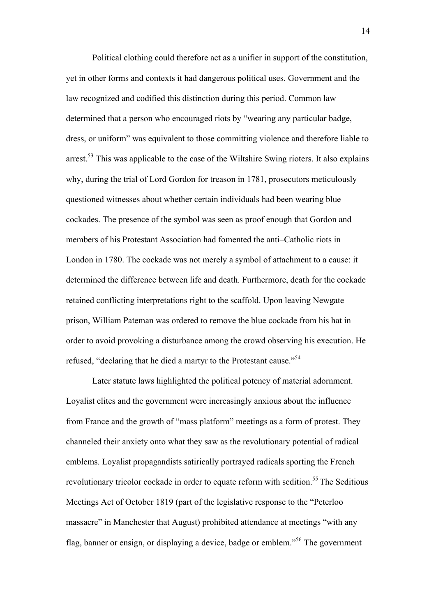Political clothing could therefore act as a unifier in support of the constitution, yet in other forms and contexts it had dangerous political uses. Government and the law recognized and codified this distinction during this period. Common law determined that a person who encouraged riots by "wearing any particular badge, dress, or uniform" was equivalent to those committing violence and therefore liable to arrest.<sup>53</sup> This was applicable to the case of the Wiltshire Swing rioters. It also explains why, during the trial of Lord Gordon for treason in 1781, prosecutors meticulously questioned witnesses about whether certain individuals had been wearing blue cockades. The presence of the symbol was seen as proof enough that Gordon and members of his Protestant Association had fomented the anti–Catholic riots in London in 1780. The cockade was not merely a symbol of attachment to a cause: it determined the difference between life and death. Furthermore, death for the cockade retained conflicting interpretations right to the scaffold. Upon leaving Newgate prison, William Pateman was ordered to remove the blue cockade from his hat in order to avoid provoking a disturbance among the crowd observing his execution. He refused, "declaring that he died a martyr to the Protestant cause."<sup>54</sup>

Later statute laws highlighted the political potency of material adornment. Loyalist elites and the government were increasingly anxious about the influence from France and the growth of "mass platform" meetings as a form of protest. They channeled their anxiety onto what they saw as the revolutionary potential of radical emblems. Loyalist propagandists satirically portrayed radicals sporting the French revolutionary tricolor cockade in order to equate reform with sedition.<sup>55</sup> The Seditious Meetings Act of October 1819 (part of the legislative response to the "Peterloo massacre" in Manchester that August) prohibited attendance at meetings "with any flag, banner or ensign, or displaying a device, badge or emblem."<sup>56</sup> The government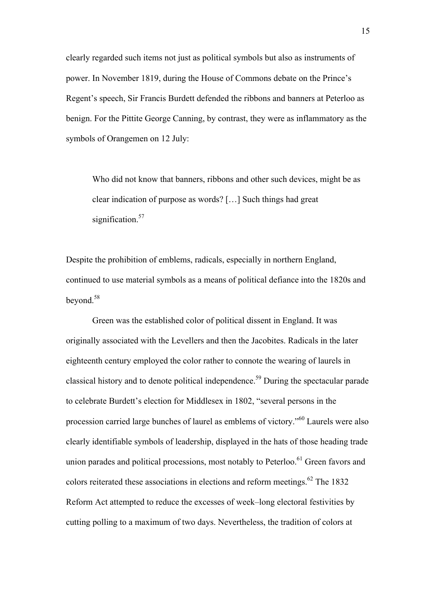clearly regarded such items not just as political symbols but also as instruments of power. In November 1819, during the House of Commons debate on the Prince's Regent's speech, Sir Francis Burdett defended the ribbons and banners at Peterloo as benign. For the Pittite George Canning, by contrast, they were as inflammatory as the symbols of Orangemen on 12 July:

Who did not know that banners, ribbons and other such devices, might be as clear indication of purpose as words? […] Such things had great signification.<sup>57</sup>

Despite the prohibition of emblems, radicals, especially in northern England, continued to use material symbols as a means of political defiance into the 1820s and beyond.58

Green was the established color of political dissent in England. It was originally associated with the Levellers and then the Jacobites. Radicals in the later eighteenth century employed the color rather to connote the wearing of laurels in classical history and to denote political independence.59 During the spectacular parade to celebrate Burdett's election for Middlesex in 1802, "several persons in the procession carried large bunches of laurel as emblems of victory."60 Laurels were also clearly identifiable symbols of leadership, displayed in the hats of those heading trade union parades and political processions, most notably to Peterloo.<sup>61</sup> Green favors and colors reiterated these associations in elections and reform meetings.<sup>62</sup> The 1832 Reform Act attempted to reduce the excesses of week–long electoral festivities by cutting polling to a maximum of two days. Nevertheless, the tradition of colors at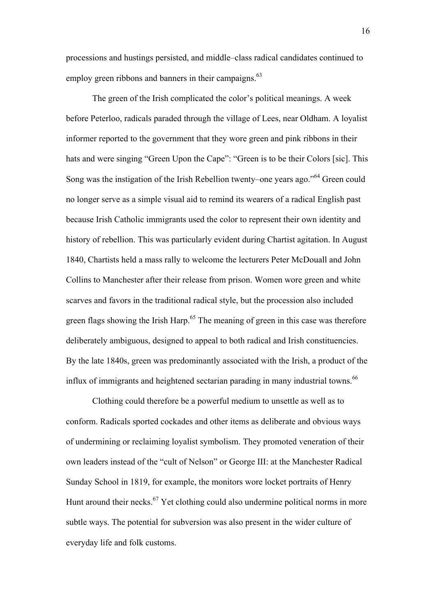processions and hustings persisted, and middle–class radical candidates continued to employ green ribbons and banners in their campaigns. $63$ 

The green of the Irish complicated the color's political meanings. A week before Peterloo, radicals paraded through the village of Lees, near Oldham. A loyalist informer reported to the government that they wore green and pink ribbons in their hats and were singing "Green Upon the Cape": "Green is to be their Colors [sic]. This Song was the instigation of the Irish Rebellion twenty–one years ago."64 Green could no longer serve as a simple visual aid to remind its wearers of a radical English past because Irish Catholic immigrants used the color to represent their own identity and history of rebellion. This was particularly evident during Chartist agitation. In August 1840, Chartists held a mass rally to welcome the lecturers Peter McDouall and John Collins to Manchester after their release from prison. Women wore green and white scarves and favors in the traditional radical style, but the procession also included green flags showing the Irish Harp.<sup>65</sup> The meaning of green in this case was therefore deliberately ambiguous, designed to appeal to both radical and Irish constituencies. By the late 1840s, green was predominantly associated with the Irish, a product of the influx of immigrants and heightened sectarian parading in many industrial towns.<sup>66</sup>

Clothing could therefore be a powerful medium to unsettle as well as to conform. Radicals sported cockades and other items as deliberate and obvious ways of undermining or reclaiming loyalist symbolism. They promoted veneration of their own leaders instead of the "cult of Nelson" or George III: at the Manchester Radical Sunday School in 1819, for example, the monitors wore locket portraits of Henry Hunt around their necks. $67$  Yet clothing could also undermine political norms in more subtle ways. The potential for subversion was also present in the wider culture of everyday life and folk customs.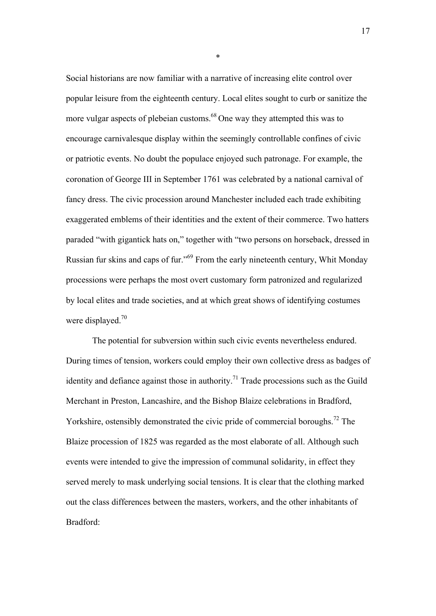Social historians are now familiar with a narrative of increasing elite control over popular leisure from the eighteenth century. Local elites sought to curb or sanitize the more vulgar aspects of plebeian customs.<sup>68</sup> One way they attempted this was to encourage carnivalesque display within the seemingly controllable confines of civic or patriotic events. No doubt the populace enjoyed such patronage. For example, the coronation of George III in September 1761 was celebrated by a national carnival of fancy dress. The civic procession around Manchester included each trade exhibiting exaggerated emblems of their identities and the extent of their commerce. Two hatters paraded "with gigantick hats on," together with "two persons on horseback, dressed in Russian fur skins and caps of fur."<sup>69</sup> From the early nineteenth century, Whit Monday processions were perhaps the most overt customary form patronized and regularized by local elites and trade societies, and at which great shows of identifying costumes were displayed.<sup>70</sup>

The potential for subversion within such civic events nevertheless endured. During times of tension, workers could employ their own collective dress as badges of identity and defiance against those in authority.<sup>71</sup> Trade processions such as the Guild Merchant in Preston, Lancashire, and the Bishop Blaize celebrations in Bradford, Yorkshire, ostensibly demonstrated the civic pride of commercial boroughs.<sup>72</sup> The Blaize procession of 1825 was regarded as the most elaborate of all. Although such events were intended to give the impression of communal solidarity, in effect they served merely to mask underlying social tensions. It is clear that the clothing marked out the class differences between the masters, workers, and the other inhabitants of Bradford:

\*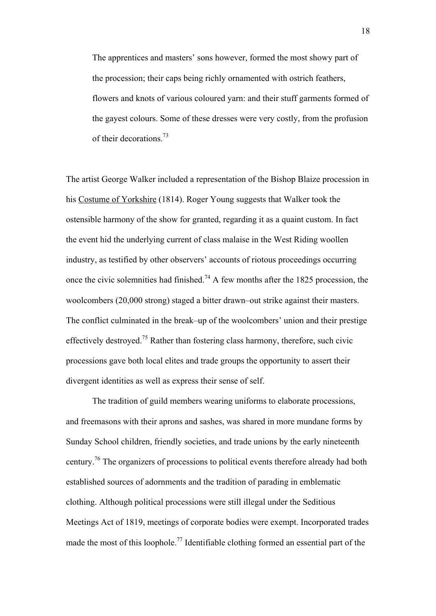The apprentices and masters' sons however, formed the most showy part of the procession; their caps being richly ornamented with ostrich feathers, flowers and knots of various coloured yarn: and their stuff garments formed of the gayest colours. Some of these dresses were very costly, from the profusion of their decorations.73

The artist George Walker included a representation of the Bishop Blaize procession in his Costume of Yorkshire (1814). Roger Young suggests that Walker took the ostensible harmony of the show for granted, regarding it as a quaint custom. In fact the event hid the underlying current of class malaise in the West Riding woollen industry, as testified by other observers' accounts of riotous proceedings occurring once the civic solemnities had finished.<sup>74</sup> A few months after the 1825 procession, the woolcombers (20,000 strong) staged a bitter drawn–out strike against their masters. The conflict culminated in the break–up of the woolcombers' union and their prestige effectively destroyed.75 Rather than fostering class harmony, therefore, such civic processions gave both local elites and trade groups the opportunity to assert their divergent identities as well as express their sense of self.

The tradition of guild members wearing uniforms to elaborate processions, and freemasons with their aprons and sashes, was shared in more mundane forms by Sunday School children, friendly societies, and trade unions by the early nineteenth century.76 The organizers of processions to political events therefore already had both established sources of adornments and the tradition of parading in emblematic clothing. Although political processions were still illegal under the Seditious Meetings Act of 1819, meetings of corporate bodies were exempt. Incorporated trades made the most of this loophole.<sup>77</sup> Identifiable clothing formed an essential part of the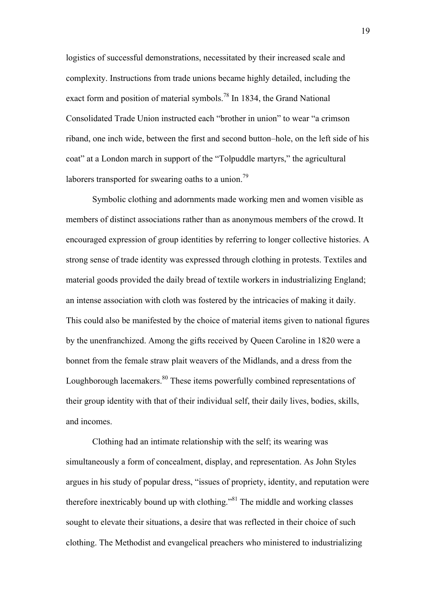logistics of successful demonstrations, necessitated by their increased scale and complexity. Instructions from trade unions became highly detailed, including the exact form and position of material symbols.<sup>78</sup> In 1834, the Grand National Consolidated Trade Union instructed each "brother in union" to wear "a crimson riband, one inch wide, between the first and second button–hole, on the left side of his coat" at a London march in support of the "Tolpuddle martyrs," the agricultural laborers transported for swearing oaths to a union.<sup>79</sup>

Symbolic clothing and adornments made working men and women visible as members of distinct associations rather than as anonymous members of the crowd. It encouraged expression of group identities by referring to longer collective histories. A strong sense of trade identity was expressed through clothing in protests. Textiles and material goods provided the daily bread of textile workers in industrializing England; an intense association with cloth was fostered by the intricacies of making it daily. This could also be manifested by the choice of material items given to national figures by the unenfranchized. Among the gifts received by Queen Caroline in 1820 were a bonnet from the female straw plait weavers of the Midlands, and a dress from the Loughborough lacemakers.<sup>80</sup> These items powerfully combined representations of their group identity with that of their individual self, their daily lives, bodies, skills, and incomes.

Clothing had an intimate relationship with the self; its wearing was simultaneously a form of concealment, display, and representation. As John Styles argues in his study of popular dress, "issues of propriety, identity, and reputation were therefore inextricably bound up with clothing."81 The middle and working classes sought to elevate their situations, a desire that was reflected in their choice of such clothing. The Methodist and evangelical preachers who ministered to industrializing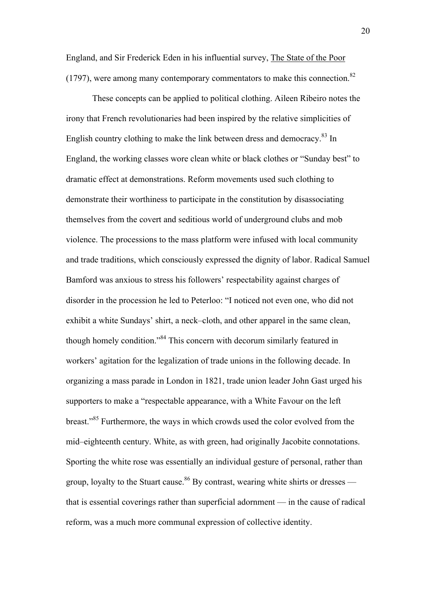England, and Sir Frederick Eden in his influential survey, The State of the Poor  $(1797)$ , were among many contemporary commentators to make this connection.<sup>82</sup>

These concepts can be applied to political clothing. Aileen Ribeiro notes the irony that French revolutionaries had been inspired by the relative simplicities of English country clothing to make the link between dress and democracy.<sup>83</sup> In England, the working classes wore clean white or black clothes or "Sunday best" to dramatic effect at demonstrations. Reform movements used such clothing to demonstrate their worthiness to participate in the constitution by disassociating themselves from the covert and seditious world of underground clubs and mob violence. The processions to the mass platform were infused with local community and trade traditions, which consciously expressed the dignity of labor. Radical Samuel Bamford was anxious to stress his followers' respectability against charges of disorder in the procession he led to Peterloo: "I noticed not even one, who did not exhibit a white Sundays' shirt, a neck–cloth, and other apparel in the same clean, though homely condition."84 This concern with decorum similarly featured in workers' agitation for the legalization of trade unions in the following decade. In organizing a mass parade in London in 1821, trade union leader John Gast urged his supporters to make a "respectable appearance, with a White Favour on the left breast."85 Furthermore, the ways in which crowds used the color evolved from the mid–eighteenth century. White, as with green, had originally Jacobite connotations. Sporting the white rose was essentially an individual gesture of personal, rather than group, loyalty to the Stuart cause.<sup>86</sup> By contrast, wearing white shirts or dresses that is essential coverings rather than superficial adornment — in the cause of radical reform, was a much more communal expression of collective identity.

20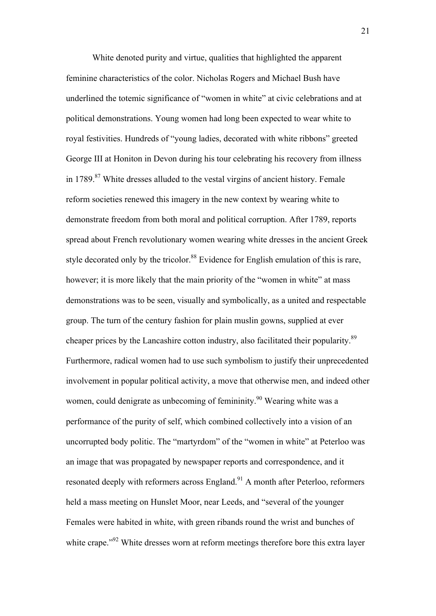White denoted purity and virtue, qualities that highlighted the apparent feminine characteristics of the color. Nicholas Rogers and Michael Bush have underlined the totemic significance of "women in white" at civic celebrations and at political demonstrations. Young women had long been expected to wear white to royal festivities. Hundreds of "young ladies, decorated with white ribbons" greeted George III at Honiton in Devon during his tour celebrating his recovery from illness in  $1789$ <sup>87</sup> White dresses alluded to the vestal virgins of ancient history. Female reform societies renewed this imagery in the new context by wearing white to demonstrate freedom from both moral and political corruption. After 1789, reports spread about French revolutionary women wearing white dresses in the ancient Greek style decorated only by the tricolor.<sup>88</sup> Evidence for English emulation of this is rare, however; it is more likely that the main priority of the "women in white" at mass demonstrations was to be seen, visually and symbolically, as a united and respectable group. The turn of the century fashion for plain muslin gowns, supplied at ever cheaper prices by the Lancashire cotton industry, also facilitated their popularity.<sup>89</sup> Furthermore, radical women had to use such symbolism to justify their unprecedented involvement in popular political activity, a move that otherwise men, and indeed other women, could denigrate as unbecoming of femininity.<sup>90</sup> Wearing white was a performance of the purity of self, which combined collectively into a vision of an uncorrupted body politic. The "martyrdom" of the "women in white" at Peterloo was an image that was propagated by newspaper reports and correspondence, and it resonated deeply with reformers across England.<sup>91</sup> A month after Peterloo, reformers held a mass meeting on Hunslet Moor, near Leeds, and "several of the younger Females were habited in white, with green ribands round the wrist and bunches of white crape.<sup>"92</sup> White dresses worn at reform meetings therefore bore this extra layer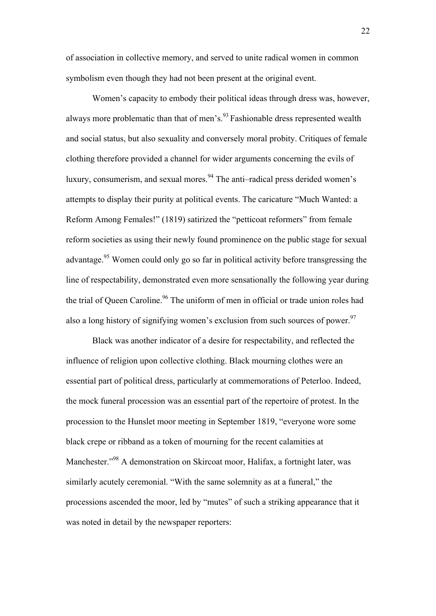of association in collective memory, and served to unite radical women in common symbolism even though they had not been present at the original event.

Women's capacity to embody their political ideas through dress was, however, always more problematic than that of men's. $93$  Fashionable dress represented wealth and social status, but also sexuality and conversely moral probity. Critiques of female clothing therefore provided a channel for wider arguments concerning the evils of luxury, consumerism, and sexual mores.  $94$  The anti–radical press derided women's attempts to display their purity at political events. The caricature "Much Wanted: a Reform Among Females!" (1819) satirized the "petticoat reformers" from female reform societies as using their newly found prominence on the public stage for sexual advantage.<sup>95</sup> Women could only go so far in political activity before transgressing the line of respectability, demonstrated even more sensationally the following year during the trial of Queen Caroline.<sup>96</sup> The uniform of men in official or trade union roles had also a long history of signifying women's exclusion from such sources of power.<sup>97</sup>

Black was another indicator of a desire for respectability, and reflected the influence of religion upon collective clothing. Black mourning clothes were an essential part of political dress, particularly at commemorations of Peterloo. Indeed, the mock funeral procession was an essential part of the repertoire of protest. In the procession to the Hunslet moor meeting in September 1819, "everyone wore some black crepe or ribband as a token of mourning for the recent calamities at Manchester."<sup>98</sup> A demonstration on Skircoat moor, Halifax, a fortnight later, was similarly acutely ceremonial. "With the same solemnity as at a funeral," the processions ascended the moor, led by "mutes" of such a striking appearance that it was noted in detail by the newspaper reporters: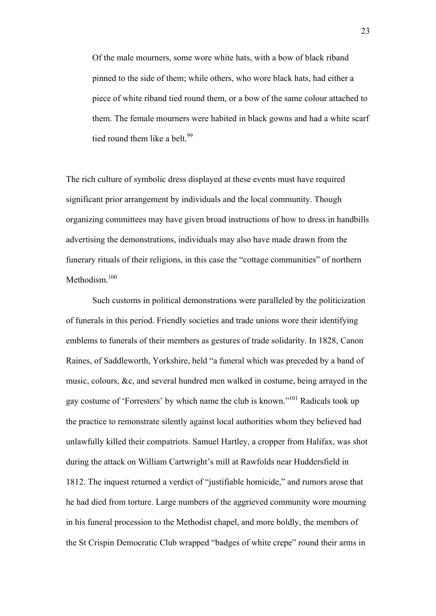Of the male mourners, some wore white hats, with a bow of black riband pinned to the side of them; while others, who wore black hats, had either a piece of white riband tied round them, or a bow of the same colour attached to them. The female mourners were habited in black gowns and had a white scarf tied round them like a belt.<sup>99</sup>

The rich culture of symbolic dress displayed at these events must have required significant prior arrangement by individuals and the local community. Though organizing committees may have given broad instructions of how to dress in handbills advertising the demonstrations, individuals may also have made drawn from the funerary rituals of their religions, in this case the "cottage communities" of northern Methodism.<sup>100</sup>

Such customs in political demonstrations were paralleled by the politicization of funerals in this period. Friendly societies and trade unions wore their identifying emblems to funerals of their members as gestures of trade solidarity. In 1828, Canon Raines, of Saddleworth, Yorkshire, held "a funeral which was preceded by a band of music, colours, &c, and several hundred men walked in costume, being arrayed in the gay costume of 'Forresters' by which name the club is known."101 Radicals took up the practice to remonstrate silently against local authorities whom they believed had unlawfully killed their compatriots. Samuel Hartley, a cropper from Halifax, was shot during the attack on William Cartwright's mill at Rawfolds near Huddersfield in 1812. The inquest returned a verdict of "justifiable homicide," and rumors arose that he had died from torture. Large numbers of the aggrieved community wore mourning in his funeral procession to the Methodist chapel, and more boldly, the members of the St Crispin Democratic Club wrapped "badges of white crepe" round their arms in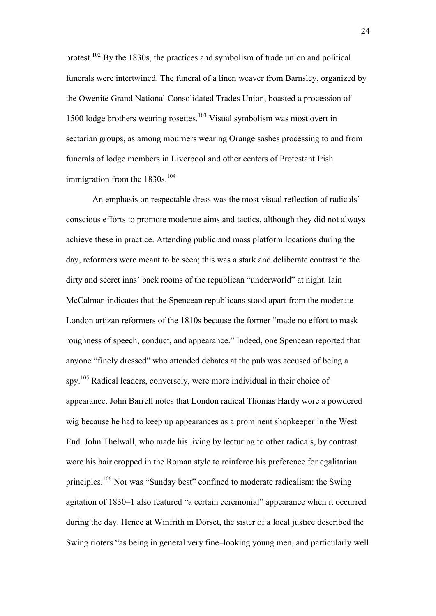protest.102 By the 1830s, the practices and symbolism of trade union and political funerals were intertwined. The funeral of a linen weaver from Barnsley, organized by the Owenite Grand National Consolidated Trades Union, boasted a procession of 1500 lodge brothers wearing rosettes.103 Visual symbolism was most overt in sectarian groups, as among mourners wearing Orange sashes processing to and from funerals of lodge members in Liverpool and other centers of Protestant Irish immigration from the 1830s.<sup>104</sup>

An emphasis on respectable dress was the most visual reflection of radicals' conscious efforts to promote moderate aims and tactics, although they did not always achieve these in practice. Attending public and mass platform locations during the day, reformers were meant to be seen; this was a stark and deliberate contrast to the dirty and secret inns' back rooms of the republican "underworld" at night. Iain McCalman indicates that the Spencean republicans stood apart from the moderate London artizan reformers of the 1810s because the former "made no effort to mask roughness of speech, conduct, and appearance." Indeed, one Spencean reported that anyone "finely dressed" who attended debates at the pub was accused of being a spy.<sup>105</sup> Radical leaders, conversely, were more individual in their choice of appearance. John Barrell notes that London radical Thomas Hardy wore a powdered wig because he had to keep up appearances as a prominent shopkeeper in the West End. John Thelwall, who made his living by lecturing to other radicals, by contrast wore his hair cropped in the Roman style to reinforce his preference for egalitarian principles.106 Nor was "Sunday best" confined to moderate radicalism: the Swing agitation of 1830–1 also featured "a certain ceremonial" appearance when it occurred during the day. Hence at Winfrith in Dorset, the sister of a local justice described the Swing rioters "as being in general very fine–looking young men, and particularly well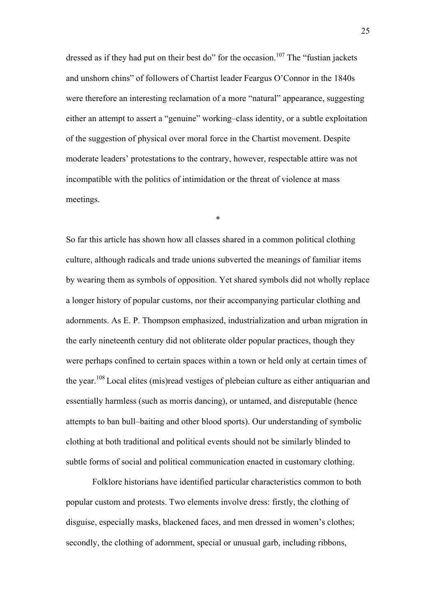dressed as if they had put on their best do" for the occasion.<sup>107</sup> The "fustian jackets" and unshorn chins" of followers of Chartist leader Feargus O'Connor in the 1840s were therefore an interesting reclamation of a more "natural" appearance, suggesting either an attempt to assert a "genuine" working–class identity, or a subtle exploitation of the suggestion of physical over moral force in the Chartist movement. Despite moderate leaders' protestations to the contrary, however, respectable attire was not incompatible with the politics of intimidation or the threat of violence at mass meetings.

\*

So far this article has shown how all classes shared in a common political clothing culture, although radicals and trade unions subverted the meanings of familiar items by wearing them as symbols of opposition. Yet shared symbols did not wholly replace a longer history of popular customs, nor their accompanying particular clothing and adornments. As E. P. Thompson emphasized, industrialization and urban migration in the early nineteenth century did not obliterate older popular practices, though they were perhaps confined to certain spaces within a town or held only at certain times of the year.108 Local elites (mis)read vestiges of plebeian culture as either antiquarian and essentially harmless (such as morris dancing), or untamed, and disreputable (hence attempts to ban bull–baiting and other blood sports). Our understanding of symbolic clothing at both traditional and political events should not be similarly blinded to subtle forms of social and political communication enacted in customary clothing.

Folklore historians have identified particular characteristics common to both popular custom and protests. Two elements involve dress: firstly, the clothing of disguise, especially masks, blackened faces, and men dressed in women's clothes; secondly, the clothing of adornment, special or unusual garb, including ribbons,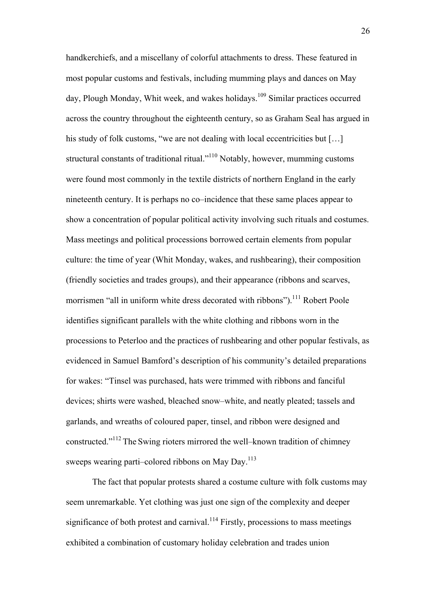handkerchiefs, and a miscellany of colorful attachments to dress. These featured in most popular customs and festivals, including mumming plays and dances on May day, Plough Monday, Whit week, and wakes holidays.<sup>109</sup> Similar practices occurred across the country throughout the eighteenth century, so as Graham Seal has argued in his study of folk customs, "we are not dealing with local eccentricities but [...] structural constants of traditional ritual."110 Notably, however, mumming customs were found most commonly in the textile districts of northern England in the early nineteenth century. It is perhaps no co–incidence that these same places appear to show a concentration of popular political activity involving such rituals and costumes. Mass meetings and political processions borrowed certain elements from popular culture: the time of year (Whit Monday, wakes, and rushbearing), their composition (friendly societies and trades groups), and their appearance (ribbons and scarves, morrismen "all in uniform white dress decorated with ribbons").<sup>111</sup> Robert Poole identifies significant parallels with the white clothing and ribbons worn in the processions to Peterloo and the practices of rushbearing and other popular festivals, as evidenced in Samuel Bamford's description of his community's detailed preparations for wakes: "Tinsel was purchased, hats were trimmed with ribbons and fanciful devices; shirts were washed, bleached snow–white, and neatly pleated; tassels and garlands, and wreaths of coloured paper, tinsel, and ribbon were designed and constructed."112 The Swing rioters mirrored the well–known tradition of chimney sweeps wearing parti–colored ribbons on May Day.<sup>113</sup>

The fact that popular protests shared a costume culture with folk customs may seem unremarkable. Yet clothing was just one sign of the complexity and deeper significance of both protest and carnival.<sup>114</sup> Firstly, processions to mass meetings exhibited a combination of customary holiday celebration and trades union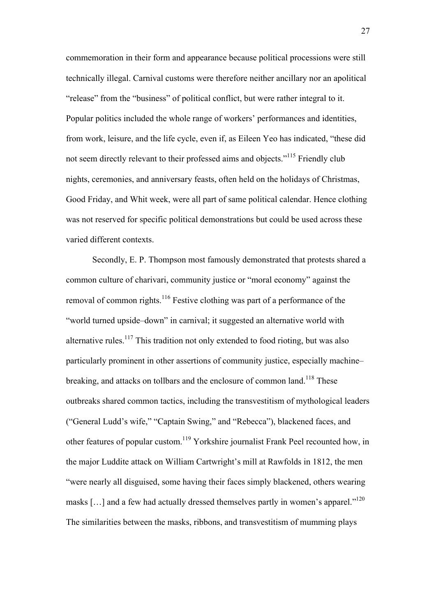commemoration in their form and appearance because political processions were still technically illegal. Carnival customs were therefore neither ancillary nor an apolitical "release" from the "business" of political conflict, but were rather integral to it. Popular politics included the whole range of workers' performances and identities, from work, leisure, and the life cycle, even if, as Eileen Yeo has indicated, "these did not seem directly relevant to their professed aims and objects."115 Friendly club nights, ceremonies, and anniversary feasts, often held on the holidays of Christmas, Good Friday, and Whit week, were all part of same political calendar. Hence clothing was not reserved for specific political demonstrations but could be used across these varied different contexts.

Secondly, E. P. Thompson most famously demonstrated that protests shared a common culture of charivari, community justice or "moral economy" against the removal of common rights.<sup>116</sup> Festive clothing was part of a performance of the "world turned upside–down" in carnival; it suggested an alternative world with alternative rules.<sup>117</sup> This tradition not only extended to food rioting, but was also particularly prominent in other assertions of community justice, especially machine– breaking, and attacks on tollbars and the enclosure of common land.<sup>118</sup> These outbreaks shared common tactics, including the transvestitism of mythological leaders ("General Ludd's wife," "Captain Swing," and "Rebecca"), blackened faces, and other features of popular custom.119 Yorkshire journalist Frank Peel recounted how, in the major Luddite attack on William Cartwright's mill at Rawfolds in 1812, the men "were nearly all disguised, some having their faces simply blackened, others wearing masks  $[...]$  and a few had actually dressed themselves partly in women's apparel."<sup>120</sup> The similarities between the masks, ribbons, and transvestitism of mumming plays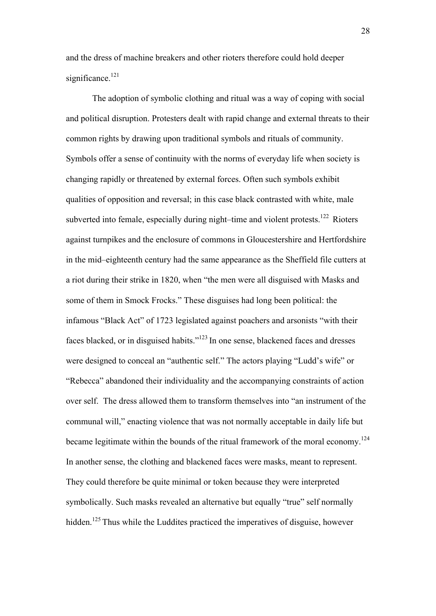and the dress of machine breakers and other rioters therefore could hold deeper significance.<sup>121</sup>

The adoption of symbolic clothing and ritual was a way of coping with social and political disruption. Protesters dealt with rapid change and external threats to their common rights by drawing upon traditional symbols and rituals of community. Symbols offer a sense of continuity with the norms of everyday life when society is changing rapidly or threatened by external forces. Often such symbols exhibit qualities of opposition and reversal; in this case black contrasted with white, male subverted into female, especially during night–time and violent protests.<sup>122</sup> Rioters against turnpikes and the enclosure of commons in Gloucestershire and Hertfordshire in the mid–eighteenth century had the same appearance as the Sheffield file cutters at a riot during their strike in 1820, when "the men were all disguised with Masks and some of them in Smock Frocks." These disguises had long been political: the infamous "Black Act" of 1723 legislated against poachers and arsonists "with their faces blacked, or in disguised habits."123 In one sense, blackened faces and dresses were designed to conceal an "authentic self." The actors playing "Ludd's wife" or "Rebecca" abandoned their individuality and the accompanying constraints of action over self. The dress allowed them to transform themselves into "an instrument of the communal will," enacting violence that was not normally acceptable in daily life but became legitimate within the bounds of the ritual framework of the moral economy.<sup>124</sup> In another sense, the clothing and blackened faces were masks, meant to represent. They could therefore be quite minimal or token because they were interpreted symbolically. Such masks revealed an alternative but equally "true" self normally hidden.<sup>125</sup> Thus while the Luddites practiced the imperatives of disguise, however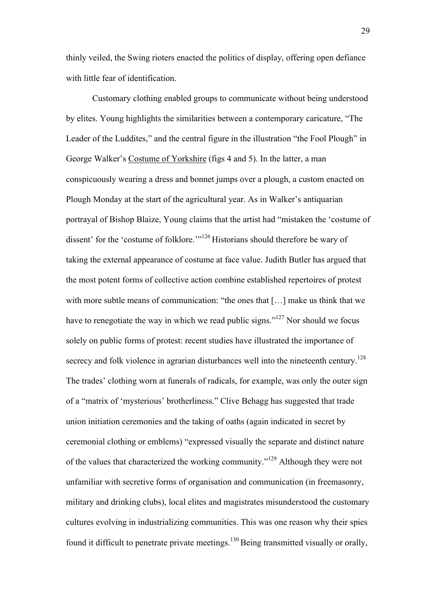thinly veiled, the Swing rioters enacted the politics of display, offering open defiance with little fear of identification.

Customary clothing enabled groups to communicate without being understood by elites. Young highlights the similarities between a contemporary caricature, "The Leader of the Luddites," and the central figure in the illustration "the Fool Plough" in George Walker's Costume of Yorkshire (figs 4 and 5). In the latter, a man conspicuously wearing a dress and bonnet jumps over a plough, a custom enacted on Plough Monday at the start of the agricultural year. As in Walker's antiquarian portrayal of Bishop Blaize, Young claims that the artist had "mistaken the 'costume of dissent' for the 'costume of folklore.'"<sup>126</sup> Historians should therefore be wary of taking the external appearance of costume at face value. Judith Butler has argued that the most potent forms of collective action combine established repertoires of protest with more subtle means of communication: "the ones that [...] make us think that we have to renegotiate the way in which we read public signs."<sup>127</sup> Nor should we focus solely on public forms of protest: recent studies have illustrated the importance of secrecy and folk violence in agrarian disturbances well into the nineteenth century.<sup>128</sup> The trades' clothing worn at funerals of radicals, for example, was only the outer sign of a "matrix of 'mysterious' brotherliness." Clive Behagg has suggested that trade union initiation ceremonies and the taking of oaths (again indicated in secret by ceremonial clothing or emblems) "expressed visually the separate and distinct nature of the values that characterized the working community."129 Although they were not unfamiliar with secretive forms of organisation and communication (in freemasonry, military and drinking clubs), local elites and magistrates misunderstood the customary cultures evolving in industrializing communities. This was one reason why their spies found it difficult to penetrate private meetings.<sup>130</sup> Being transmitted visually or orally,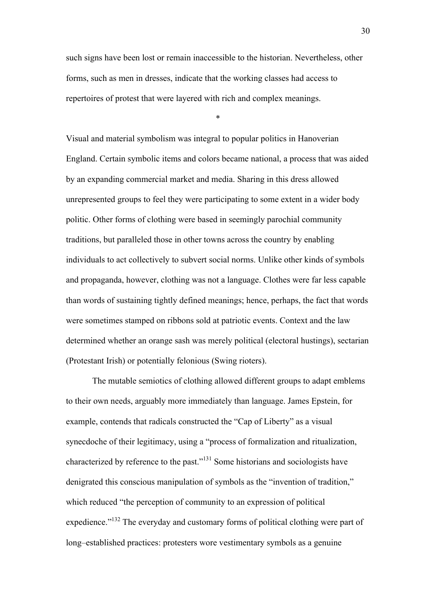such signs have been lost or remain inaccessible to the historian. Nevertheless, other forms, such as men in dresses, indicate that the working classes had access to repertoires of protest that were layered with rich and complex meanings.

\*

Visual and material symbolism was integral to popular politics in Hanoverian England. Certain symbolic items and colors became national, a process that was aided by an expanding commercial market and media. Sharing in this dress allowed unrepresented groups to feel they were participating to some extent in a wider body politic. Other forms of clothing were based in seemingly parochial community traditions, but paralleled those in other towns across the country by enabling individuals to act collectively to subvert social norms. Unlike other kinds of symbols and propaganda, however, clothing was not a language. Clothes were far less capable than words of sustaining tightly defined meanings; hence, perhaps, the fact that words were sometimes stamped on ribbons sold at patriotic events. Context and the law determined whether an orange sash was merely political (electoral hustings), sectarian (Protestant Irish) or potentially felonious (Swing rioters).

The mutable semiotics of clothing allowed different groups to adapt emblems to their own needs, arguably more immediately than language. James Epstein, for example, contends that radicals constructed the "Cap of Liberty" as a visual synecdoche of their legitimacy, using a "process of formalization and ritualization, characterized by reference to the past."131 Some historians and sociologists have denigrated this conscious manipulation of symbols as the "invention of tradition," which reduced "the perception of community to an expression of political expedience."<sup>132</sup> The everyday and customary forms of political clothing were part of long–established practices: protesters wore vestimentary symbols as a genuine

30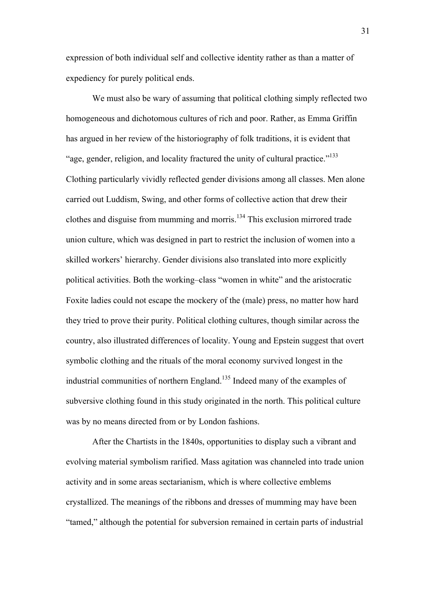expression of both individual self and collective identity rather as than a matter of expediency for purely political ends.

We must also be wary of assuming that political clothing simply reflected two homogeneous and dichotomous cultures of rich and poor. Rather, as Emma Griffin has argued in her review of the historiography of folk traditions, it is evident that "age, gender, religion, and locality fractured the unity of cultural practice."133 Clothing particularly vividly reflected gender divisions among all classes. Men alone carried out Luddism, Swing, and other forms of collective action that drew their clothes and disguise from mumming and morris.<sup>134</sup> This exclusion mirrored trade union culture, which was designed in part to restrict the inclusion of women into a skilled workers' hierarchy. Gender divisions also translated into more explicitly political activities. Both the working–class "women in white" and the aristocratic Foxite ladies could not escape the mockery of the (male) press, no matter how hard they tried to prove their purity. Political clothing cultures, though similar across the country, also illustrated differences of locality. Young and Epstein suggest that overt symbolic clothing and the rituals of the moral economy survived longest in the industrial communities of northern England.<sup>135</sup> Indeed many of the examples of subversive clothing found in this study originated in the north. This political culture was by no means directed from or by London fashions.

After the Chartists in the 1840s, opportunities to display such a vibrant and evolving material symbolism rarified. Mass agitation was channeled into trade union activity and in some areas sectarianism, which is where collective emblems crystallized. The meanings of the ribbons and dresses of mumming may have been "tamed," although the potential for subversion remained in certain parts of industrial

31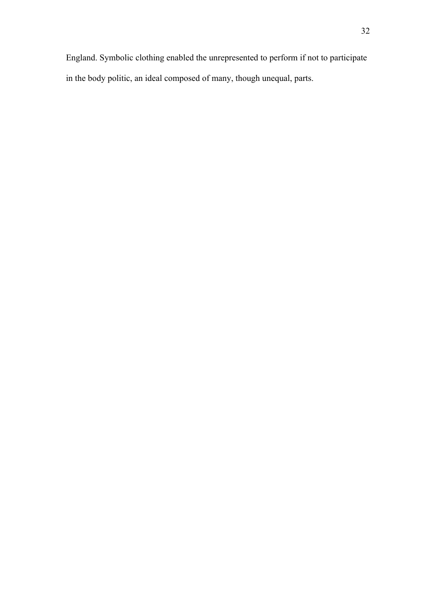England. Symbolic clothing enabled the unrepresented to perform if not to participate in the body politic, an ideal composed of many, though unequal, parts.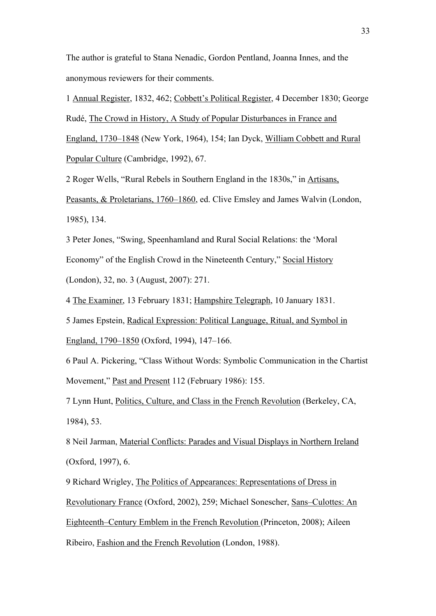The author is grateful to Stana Nenadic, Gordon Pentland, Joanna Innes, and the anonymous reviewers for their comments.

1 Annual Register, 1832, 462; Cobbett's Political Register, 4 December 1830; George Rudé, The Crowd in History, A Study of Popular Disturbances in France and England, 1730–1848 (New York, 1964), 154; Ian Dyck, William Cobbett and Rural Popular Culture (Cambridge, 1992), 67.

2 Roger Wells, "Rural Rebels in Southern England in the 1830s," in Artisans, Peasants, & Proletarians, 1760–1860, ed. Clive Emsley and James Walvin (London, 1985), 134.

3 Peter Jones, "Swing, Speenhamland and Rural Social Relations: the 'Moral Economy" of the English Crowd in the Nineteenth Century," Social History (London), 32, no. 3 (August, 2007): 271.

4 The Examiner, 13 February 1831; Hampshire Telegraph, 10 January 1831.

5 James Epstein, Radical Expression: Political Language, Ritual, and Symbol in England, 1790–1850 (Oxford, 1994), 147–166.

6 Paul A. Pickering, "Class Without Words: Symbolic Communication in the Chartist Movement," Past and Present 112 (February 1986): 155.

7 Lynn Hunt, Politics, Culture, and Class in the French Revolution (Berkeley, CA, 1984), 53.

8 Neil Jarman, Material Conflicts: Parades and Visual Displays in Northern Ireland (Oxford, 1997), 6.

9 Richard Wrigley, The Politics of Appearances: Representations of Dress in Revolutionary France (Oxford, 2002), 259; Michael Sonescher, Sans–Culottes: An Eighteenth–Century Emblem in the French Revolution (Princeton, 2008); Aileen Ribeiro, Fashion and the French Revolution (London, 1988).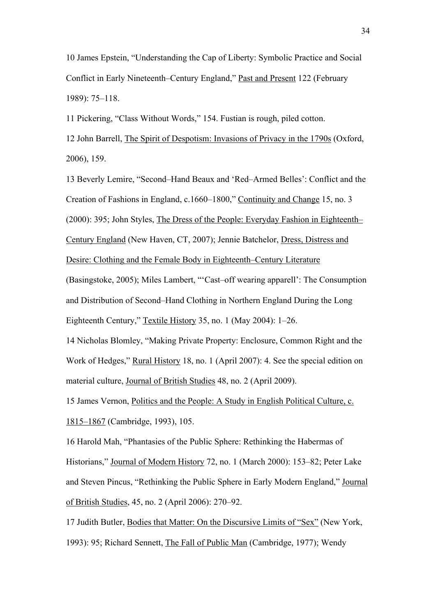10 James Epstein, "Understanding the Cap of Liberty: Symbolic Practice and Social Conflict in Early Nineteenth–Century England," Past and Present 122 (February 1989): 75–118.

11 Pickering, "Class Without Words," 154. Fustian is rough, piled cotton.

12 John Barrell, The Spirit of Despotism: Invasions of Privacy in the 1790s (Oxford, 2006), 159.

13 Beverly Lemire, "Second–Hand Beaux and 'Red–Armed Belles': Conflict and the Creation of Fashions in England, c.1660–1800," Continuity and Change 15, no. 3 (2000): 395; John Styles, The Dress of the People: Everyday Fashion in Eighteenth– Century England (New Haven, CT, 2007); Jennie Batchelor, Dress, Distress and Desire: Clothing and the Female Body in Eighteenth–Century Literature

(Basingstoke, 2005); Miles Lambert, "'Cast–off wearing apparell': The Consumption and Distribution of Second–Hand Clothing in Northern England During the Long Eighteenth Century," Textile History 35, no. 1 (May 2004): 1–26.

14 Nicholas Blomley, "Making Private Property: Enclosure, Common Right and the Work of Hedges," Rural History 18, no. 1 (April 2007): 4. See the special edition on material culture, Journal of British Studies 48, no. 2 (April 2009).

15 James Vernon, Politics and the People: A Study in English Political Culture, c. 1815–1867 (Cambridge, 1993), 105.

16 Harold Mah, "Phantasies of the Public Sphere: Rethinking the Habermas of Historians," Journal of Modern History 72, no. 1 (March 2000): 153–82; Peter Lake and Steven Pincus, "Rethinking the Public Sphere in Early Modern England," Journal of British Studies, 45, no. 2 (April 2006): 270–92.

17 Judith Butler, Bodies that Matter: On the Discursive Limits of "Sex" (New York, 1993): 95; Richard Sennett, The Fall of Public Man (Cambridge, 1977); Wendy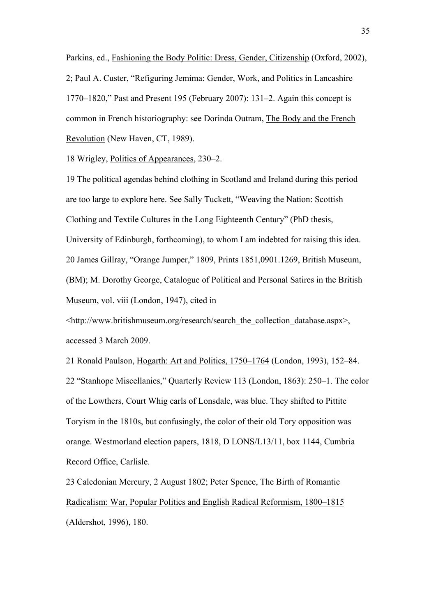Parkins, ed., Fashioning the Body Politic: Dress, Gender, Citizenship (Oxford, 2002), 2; Paul A. Custer, "Refiguring Jemima: Gender, Work, and Politics in Lancashire 1770–1820," Past and Present 195 (February 2007): 131–2. Again this concept is common in French historiography: see Dorinda Outram, The Body and the French Revolution (New Haven, CT, 1989).

18 Wrigley, Politics of Appearances, 230–2.

19 The political agendas behind clothing in Scotland and Ireland during this period are too large to explore here. See Sally Tuckett, "Weaving the Nation: Scottish Clothing and Textile Cultures in the Long Eighteenth Century" (PhD thesis, University of Edinburgh, forthcoming), to whom I am indebted for raising this idea. 20 James Gillray, "Orange Jumper," 1809, Prints 1851,0901.1269, British Museum, (BM); M. Dorothy George, Catalogue of Political and Personal Satires in the British Museum, vol. viii (London, 1947), cited in

<http://www.britishmuseum.org/research/search\_the\_collection\_database.aspx>, accessed 3 March 2009.

21 Ronald Paulson, Hogarth: Art and Politics, 1750–1764 (London, 1993), 152–84. 22 "Stanhope Miscellanies," Quarterly Review 113 (London, 1863): 250–1. The color of the Lowthers, Court Whig earls of Lonsdale, was blue. They shifted to Pittite Toryism in the 1810s, but confusingly, the color of their old Tory opposition was orange. Westmorland election papers, 1818, D LONS/L13/11, box 1144, Cumbria Record Office, Carlisle.

23 Caledonian Mercury, 2 August 1802; Peter Spence, The Birth of Romantic Radicalism: War, Popular Politics and English Radical Reformism, 1800–1815 (Aldershot, 1996), 180.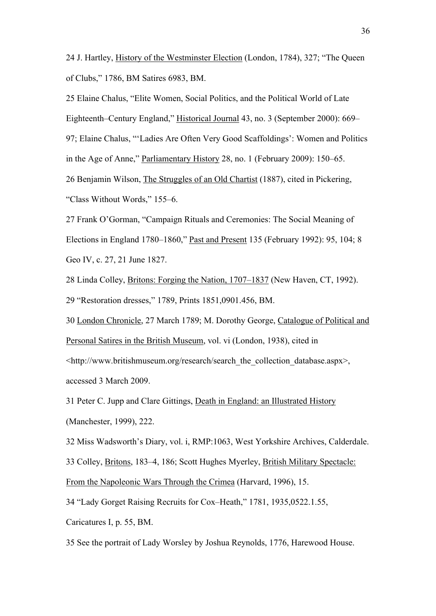24 J. Hartley, History of the Westminster Election (London, 1784), 327; "The Queen of Clubs," 1786, BM Satires 6983, BM.

25 Elaine Chalus, "Elite Women, Social Politics, and the Political World of Late Eighteenth–Century England," Historical Journal 43, no. 3 (September 2000): 669– 97; Elaine Chalus, "'Ladies Are Often Very Good Scaffoldings': Women and Politics in the Age of Anne," Parliamentary History 28, no. 1 (February 2009): 150–65. 26 Benjamin Wilson, The Struggles of an Old Chartist (1887), cited in Pickering, "Class Without Words," 155–6.

27 Frank O'Gorman, "Campaign Rituals and Ceremonies: The Social Meaning of Elections in England 1780–1860," Past and Present 135 (February 1992): 95, 104; 8 Geo IV, c. 27, 21 June 1827.

28 Linda Colley, Britons: Forging the Nation, 1707–1837 (New Haven, CT, 1992). 29 "Restoration dresses," 1789, Prints 1851,0901.456, BM.

30 London Chronicle, 27 March 1789; M. Dorothy George, Catalogue of Political and Personal Satires in the British Museum, vol. vi (London, 1938), cited in

<http://www.britishmuseum.org/research/search\_the\_collection\_database.aspx>, accessed 3 March 2009.

31 Peter C. Jupp and Clare Gittings, Death in England: an Illustrated History (Manchester, 1999), 222.

32 Miss Wadsworth's Diary, vol. i, RMP:1063, West Yorkshire Archives, Calderdale.

33 Colley, Britons, 183–4, 186; Scott Hughes Myerley, British Military Spectacle:

From the Napoleonic Wars Through the Crimea (Harvard, 1996), 15.

34 "Lady Gorget Raising Recruits for Cox–Heath," 1781, 1935,0522.1.55,

Caricatures I, p. 55, BM.

35 See the portrait of Lady Worsley by Joshua Reynolds, 1776, Harewood House.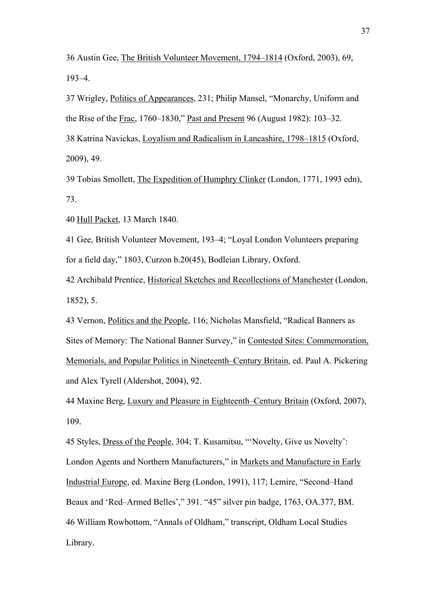36 Austin Gee, The British Volunteer Movement, 1794–1814 (Oxford, 2003), 69, 193–4.

37 Wrigley, Politics of Appearances, 231; Philip Mansel, "Monarchy, Uniform and the Rise of the Frac, 1760–1830," Past and Present 96 (August 1982): 103–32. 38 Katrina Navickas, Loyalism and Radicalism in Lancashire, 1798–1815 (Oxford, 2009), 49.

39 Tobias Smollett, The Expedition of Humphry Clinker (London, 1771, 1993 edn), 73.

40 Hull Packet, 13 March 1840.

41 Gee, British Volunteer Movement, 193–4; "Loyal London Volunteers preparing for a field day," 1803, Curzon b.20(45), Bodleian Library, Oxford.

42 Archibald Prentice, Historical Sketches and Recollections of Manchester (London, 1852), 5.

43 Vernon, Politics and the People, 116; Nicholas Mansfield, "Radical Banners as Sites of Memory: The National Banner Survey," in Contested Sites: Commemoration, Memorials, and Popular Politics in Nineteenth–Century Britain, ed. Paul A. Pickering and Alex Tyrell (Aldershot, 2004), 92.

44 Maxine Berg, Luxury and Pleasure in Eighteenth–Century Britain (Oxford, 2007), 109.

45 Styles, Dress of the People, 304; T. Kusamitsu, "'Novelty, Give us Novelty': London Agents and Northern Manufacturers," in Markets and Manufacture in Early Industrial Europe, ed. Maxine Berg (London, 1991), 117; Lemire, "Second–Hand Beaux and 'Red–Armed Belles'," 391. "45" silver pin badge, 1763, OA.377, BM. 46 William Rowbottom, "Annals of Oldham," transcript, Oldham Local Studies Library.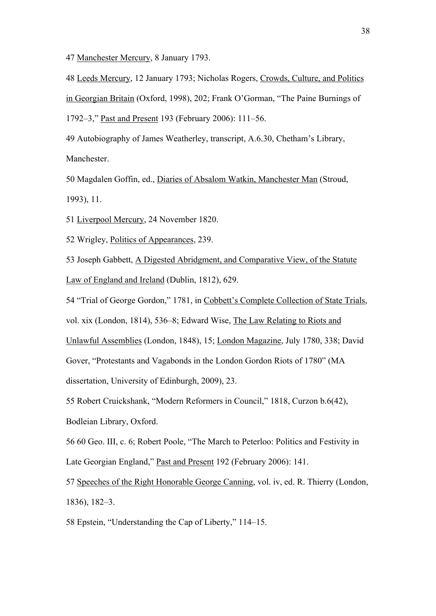47 Manchester Mercury, 8 January 1793.

48 Leeds Mercury, 12 January 1793; Nicholas Rogers, Crowds, Culture, and Politics in Georgian Britain (Oxford, 1998), 202; Frank O'Gorman, "The Paine Burnings of 1792–3," Past and Present 193 (February 2006): 111–56.

49 Autobiography of James Weatherley, transcript, A.6.30, Chetham's Library, Manchester.

50 Magdalen Goffin, ed., Diaries of Absalom Watkin, Manchester Man (Stroud, 1993), 11.

51 Liverpool Mercury, 24 November 1820.

52 Wrigley, Politics of Appearances, 239.

53 Joseph Gabbett, A Digested Abridgment, and Comparative View, of the Statute Law of England and Ireland (Dublin, 1812), 629.

54 "Trial of George Gordon," 1781, in Cobbett's Complete Collection of State Trials, vol. xix (London, 1814), 536–8; Edward Wise, The Law Relating to Riots and Unlawful Assemblies (London, 1848), 15; London Magazine, July 1780, 338; David

Gover, "Protestants and Vagabonds in the London Gordon Riots of 1780" (MA

dissertation, University of Edinburgh, 2009), 23.

55 Robert Cruickshank, "Modern Reformers in Council," 1818, Curzon b.6(42),

Bodleian Library, Oxford.

56 60 Geo. III, c. 6; Robert Poole, "The March to Peterloo: Politics and Festivity in Late Georgian England," Past and Present 192 (February 2006): 141.

57 Speeches of the Right Honorable George Canning, vol. iv, ed. R. Thierry (London, 1836), 182–3.

58 Epstein, "Understanding the Cap of Liberty," 114–15.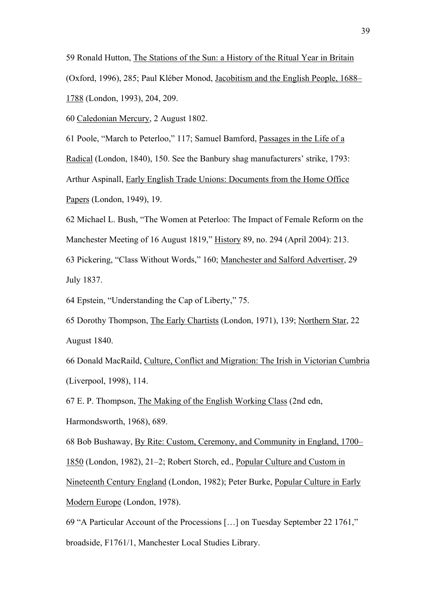59 Ronald Hutton, The Stations of the Sun: a History of the Ritual Year in Britain (Oxford, 1996), 285; Paul Kléber Monod, Jacobitism and the English People, 1688– 1788 (London, 1993), 204, 209.

60 Caledonian Mercury, 2 August 1802.

61 Poole, "March to Peterloo," 117; Samuel Bamford, Passages in the Life of a Radical (London, 1840), 150. See the Banbury shag manufacturers' strike, 1793: Arthur Aspinall, Early English Trade Unions: Documents from the Home Office Papers (London, 1949), 19.

62 Michael L. Bush, "The Women at Peterloo: The Impact of Female Reform on the Manchester Meeting of 16 August 1819," History 89, no. 294 (April 2004): 213. 63 Pickering, "Class Without Words," 160; Manchester and Salford Advertiser, 29

July 1837.

64 Epstein, "Understanding the Cap of Liberty," 75.

65 Dorothy Thompson, The Early Chartists (London, 1971), 139; Northern Star, 22 August 1840.

66 Donald MacRaild, Culture, Conflict and Migration: The Irish in Victorian Cumbria (Liverpool, 1998), 114.

67 E. P. Thompson, The Making of the English Working Class (2nd edn,

Harmondsworth, 1968), 689.

68 Bob Bushaway, By Rite: Custom, Ceremony, and Community in England, 1700–

1850 (London, 1982), 21–2; Robert Storch, ed., Popular Culture and Custom in

Nineteenth Century England (London, 1982); Peter Burke, Popular Culture in Early Modern Europe (London, 1978).

69 "A Particular Account of the Processions […] on Tuesday September 22 1761," broadside, F1761/1, Manchester Local Studies Library.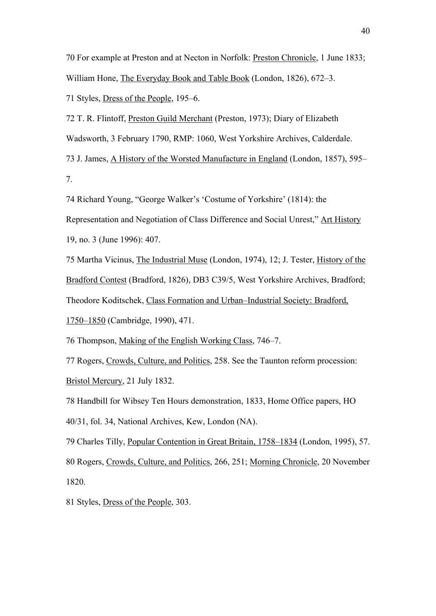70 For example at Preston and at Necton in Norfolk: Preston Chronicle, 1 June 1833; William Hone, The Everyday Book and Table Book (London, 1826), 672–3. 71 Styles, Dress of the People, 195–6.

72 T. R. Flintoff, Preston Guild Merchant (Preston, 1973); Diary of Elizabeth Wadsworth, 3 February 1790, RMP: 1060, West Yorkshire Archives, Calderdale. 73 J. James, A History of the Worsted Manufacture in England (London, 1857), 595–

7.

74 Richard Young, "George Walker's 'Costume of Yorkshire' (1814): the

Representation and Negotiation of Class Difference and Social Unrest," Art History 19, no. 3 (June 1996): 407.

75 Martha Vicinus, The Industrial Muse (London, 1974), 12; J. Tester, History of the Bradford Contest (Bradford, 1826), DB3 C39/5, West Yorkshire Archives, Bradford; Theodore Koditschek, Class Formation and Urban–Industrial Society: Bradford, 1750–1850 (Cambridge, 1990), 471.

76 Thompson, Making of the English Working Class, 746–7.

77 Rogers, Crowds, Culture, and Politics, 258. See the Taunton reform procession: Bristol Mercury, 21 July 1832.

78 Handbill for Wibsey Ten Hours demonstration, 1833, Home Office papers, HO 40/31, fol. 34, National Archives, Kew, London (NA).

79 Charles Tilly, Popular Contention in Great Britain, 1758–1834 (London, 1995), 57. 80 Rogers, Crowds, Culture, and Politics, 266, 251; Morning Chronicle, 20 November 1820.

81 Styles, Dress of the People, 303.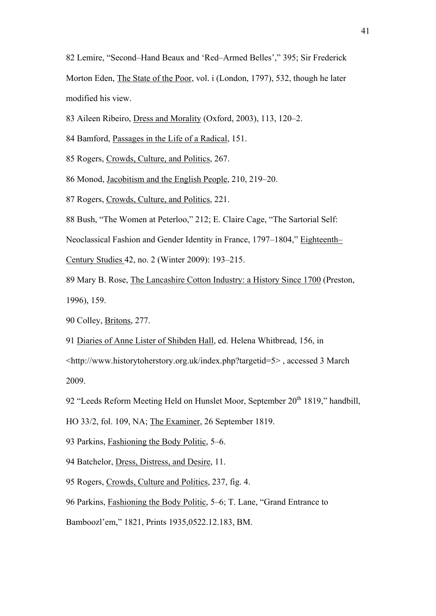82 Lemire, "Second–Hand Beaux and 'Red–Armed Belles'," 395; Sir Frederick Morton Eden, The State of the Poor, vol. i (London, 1797), 532, though he later modified his view.

83 Aileen Ribeiro, Dress and Morality (Oxford, 2003), 113, 120–2.

- 84 Bamford, Passages in the Life of a Radical, 151.
- 85 Rogers, Crowds, Culture, and Politics, 267.
- 86 Monod, Jacobitism and the English People, 210, 219–20.
- 87 Rogers, Crowds, Culture, and Politics, 221.
- 88 Bush, "The Women at Peterloo," 212; E. Claire Cage, "The Sartorial Self:

Neoclassical Fashion and Gender Identity in France, 1797–1804," Eighteenth–

- Century Studies 42, no. 2 (Winter 2009): 193–215.
- 89 Mary B. Rose, The Lancashire Cotton Industry: a History Since 1700 (Preston, 1996), 159.
- 90 Colley, Britons, 277.
- 91 Diaries of Anne Lister of Shibden Hall, ed. Helena Whitbread, 156, in

<http://www.historytoherstory.org.uk/index.php?targetid=5> , accessed 3 March 2009.

- 92 "Leeds Reform Meeting Held on Hunslet Moor, September 20<sup>th</sup> 1819," handbill,
- HO 33/2, fol. 109, NA; The Examiner, 26 September 1819.
- 93 Parkins, Fashioning the Body Politic, 5–6.
- 94 Batchelor, Dress, Distress, and Desire, 11.
- 95 Rogers, Crowds, Culture and Politics, 237, fig. 4.
- 96 Parkins, Fashioning the Body Politic, 5–6; T. Lane, "Grand Entrance to
- Bamboozl'em," 1821, Prints 1935,0522.12.183, BM.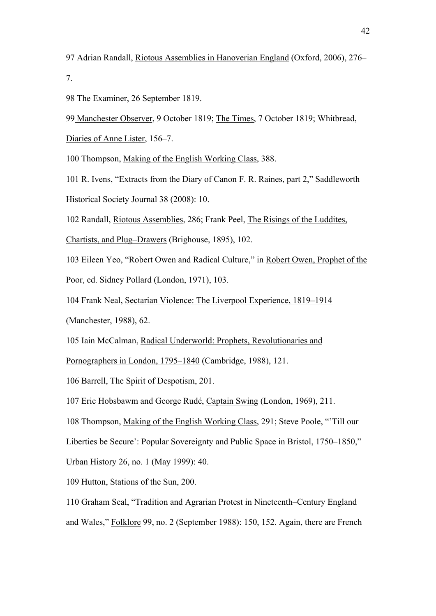97 Adrian Randall, Riotous Assemblies in Hanoverian England (Oxford, 2006), 276– 7.

98 The Examiner, 26 September 1819.

99 Manchester Observer, 9 October 1819; The Times, 7 October 1819; Whitbread,

Diaries of Anne Lister, 156–7.

100 Thompson, Making of the English Working Class, 388.

101 R. Ivens, "Extracts from the Diary of Canon F. R. Raines, part 2," Saddleworth Historical Society Journal 38 (2008): 10.

102 Randall, Riotous Assemblies, 286; Frank Peel, The Risings of the Luddites,

Chartists, and Plug–Drawers (Brighouse, 1895), 102.

103 Eileen Yeo, "Robert Owen and Radical Culture," in Robert Owen, Prophet of the

Poor, ed. Sidney Pollard (London, 1971), 103.

104 Frank Neal, Sectarian Violence: The Liverpool Experience, 1819–1914

(Manchester, 1988), 62.

105 Iain McCalman, Radical Underworld: Prophets, Revolutionaries and

Pornographers in London, 1795–1840 (Cambridge, 1988), 121.

106 Barrell, The Spirit of Despotism, 201.

107 Eric Hobsbawm and George Rudé, Captain Swing (London, 1969), 211.

108 Thompson, Making of the English Working Class, 291; Steve Poole, "'Till our

Liberties be Secure': Popular Sovereignty and Public Space in Bristol, 1750–1850,"

Urban History 26, no. 1 (May 1999): 40.

109 Hutton, Stations of the Sun, 200.

110 Graham Seal, "Tradition and Agrarian Protest in Nineteenth–Century England and Wales," Folklore 99, no. 2 (September 1988): 150, 152. Again, there are French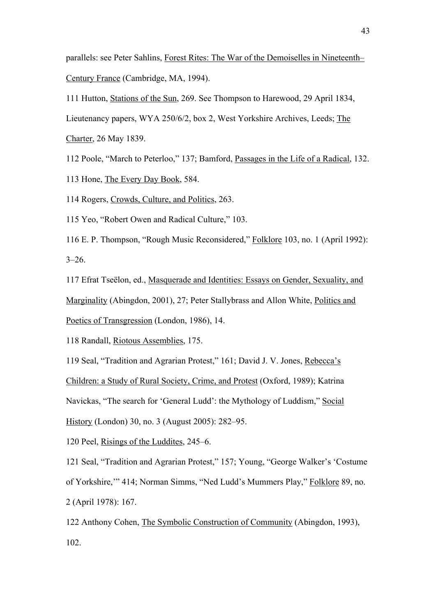parallels: see Peter Sahlins, Forest Rites: The War of the Demoiselles in Nineteenth– Century France (Cambridge, MA, 1994).

111 Hutton, Stations of the Sun, 269. See Thompson to Harewood, 29 April 1834,

Lieutenancy papers, WYA 250/6/2, box 2, West Yorkshire Archives, Leeds; The

Charter, 26 May 1839.

112 Poole, "March to Peterloo," 137; Bamford, Passages in the Life of a Radical, 132.

113 Hone, The Every Day Book, 584.

114 Rogers, Crowds, Culture, and Politics, 263.

115 Yeo, "Robert Owen and Radical Culture," 103.

116 E. P. Thompson, "Rough Music Reconsidered," Folklore 103, no. 1 (April 1992):  $3 - 26$ .

117 Efrat Tseëlon, ed., Masquerade and Identities: Essays on Gender, Sexuality, and Marginality (Abingdon, 2001), 27; Peter Stallybrass and Allon White, Politics and Poetics of Transgression (London, 1986), 14.

118 Randall, Riotous Assemblies, 175.

119 Seal, "Tradition and Agrarian Protest," 161; David J. V. Jones, Rebecca's Children: a Study of Rural Society, Crime, and Protest (Oxford, 1989); Katrina Navickas, "The search for 'General Ludd': the Mythology of Luddism," Social

History (London) 30, no. 3 (August 2005): 282–95.

120 Peel, Risings of the Luddites, 245–6.

121 Seal, "Tradition and Agrarian Protest," 157; Young, "George Walker's 'Costume of Yorkshire,'" 414; Norman Simms, "Ned Ludd's Mummers Play," Folklore 89, no. 2 (April 1978): 167.

122 Anthony Cohen, The Symbolic Construction of Community (Abingdon, 1993), 102.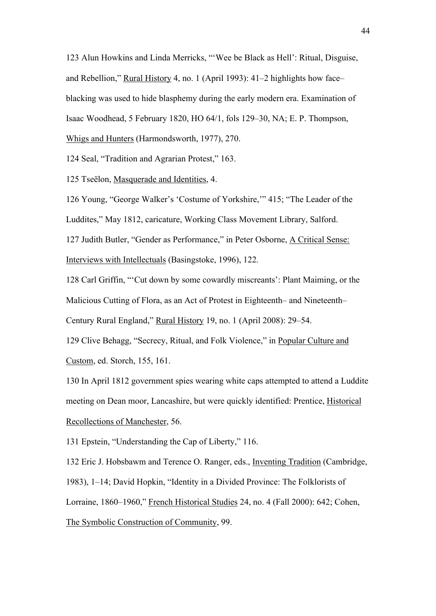123 Alun Howkins and Linda Merricks, "'Wee be Black as Hell': Ritual, Disguise, and Rebellion," Rural History 4, no. 1 (April 1993): 41–2 highlights how face– blacking was used to hide blasphemy during the early modern era. Examination of Isaac Woodhead, 5 February 1820, HO 64/1, fols 129–30, NA; E. P. Thompson, Whigs and Hunters (Harmondsworth, 1977), 270.

124 Seal, "Tradition and Agrarian Protest," 163.

125 Tseëlon, Masquerade and Identities, 4.

126 Young, "George Walker's 'Costume of Yorkshire,'" 415; "The Leader of the Luddites," May 1812, caricature, Working Class Movement Library, Salford. 127 Judith Butler, "Gender as Performance," in Peter Osborne, A Critical Sense: Interviews with Intellectuals (Basingstoke, 1996), 122*.*

128 Carl Griffin, "'Cut down by some cowardly miscreants': Plant Maiming, or the Malicious Cutting of Flora, as an Act of Protest in Eighteenth– and Nineteenth– Century Rural England," Rural History 19, no. 1 (April 2008): 29–54.

129 Clive Behagg, "Secrecy, Ritual, and Folk Violence," in Popular Culture and Custom, ed. Storch, 155, 161.

130 In April 1812 government spies wearing white caps attempted to attend a Luddite meeting on Dean moor, Lancashire, but were quickly identified: Prentice, Historical Recollections of Manchester, 56.

131 Epstein, "Understanding the Cap of Liberty," 116.

132 Eric J. Hobsbawm and Terence O. Ranger, eds., Inventing Tradition (Cambridge,

1983), 1–14; David Hopkin, "Identity in a Divided Province: The Folklorists of

Lorraine, 1860–1960," French Historical Studies 24, no. 4 (Fall 2000): 642; Cohen,

The Symbolic Construction of Community, 99.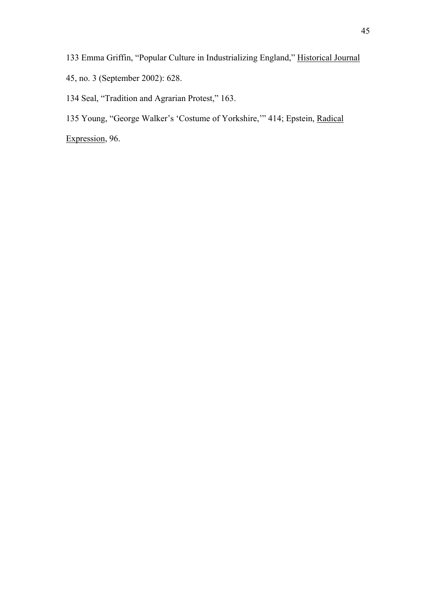133 Emma Griffin, "Popular Culture in Industrializing England," Historical Journal 45, no. 3 (September 2002): 628.

134 Seal, "Tradition and Agrarian Protest," 163.

135 Young, "George Walker's 'Costume of Yorkshire,'" 414; Epstein, Radical

Expression, 96.